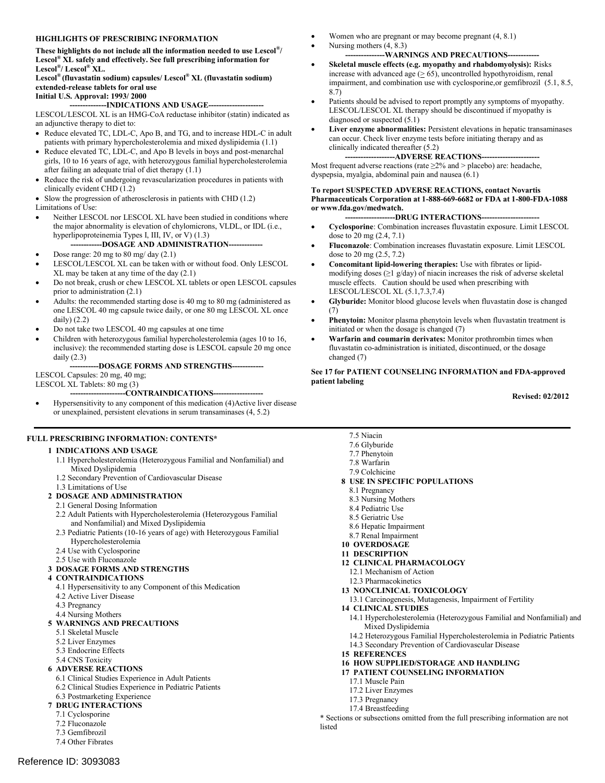#### **HIGHLIGHTS OF PRESCRIBING INFORMATION**

 **These highlights do not include all the information needed to use Lescol®/ Lescol® XL safely and effectively. See full prescribing information for Lescol®/ Lescol® XL.**

 **Lescol® (fluvastatin sodium) capsules/ Lescol® XL (fluvastatin sodium) extended-release tablets for oral use Initial U.S. Approval: 1993/ 2000**

 LESCOL/LESCOL XL is an HMG-CoA reductase inhibitor (statin) indicated as an adjunctive therapy to diet to: **--------------INDICATIONS AND USAGE---------------------**

- Reduce elevated TC, LDL-C, Apo B, and TG, and to increase HDL-C in adult patients with primary hypercholesterolemia and mixed dyslipidemia (1.1)
- Reduce elevated TC, LDL-C, and Apo B levels in boys and post-menarchal girls, 10 to 16 years of age, with heterozygous familial hypercholesterolemia after failing an adequate trial of diet therapy (1.1)
- Reduce the risk of undergoing revascularization procedures in patients with clinically evident CHD (1.2)

 $\bullet$  Slow the progression of atherosclerosis in patients with CHD (1.2)

Limitations of Use:

- Neither LESCOL nor LESCOL XL have been studied in conditions where the major abnormality is elevation of chylomicrons, VLDL, or IDL (i.e., hyperlipoproteinemia Types I, III, IV, or V) (1.3)
	- -DOSAGE AND ADMINISTRATION--
- Dose range:  $20 \text{ mg}$  to  $80 \text{ mg}$  day  $(2.1)$  LESCOL/LESCOL XL can be taken with or without food. Only LESCOL XL may be taken at any time of the day (2.1)
- Do not break, crush or chew LESCOL XL tablets or open LESCOL capsules prior to administration (2.1)
- Adults: the recommended starting dose is 40 mg to 80 mg (administered as one LESCOL 40 mg capsule twice daily, or one 80 mg LESCOL XL once daily) (2.2)
- Do not take two LESCOL 40 mg capsules at one time
- Children with heterozygous familial hypercholesterolemia (ages 10 to 16, inclusive): the recommended starting dose is LESCOL capsule 20 mg once daily (2.3)
	- **-----------DOSAGE FORMS AND STRENGTHS------------**

 LESCOL Capsules: 20 mg, 40 mg; LESCOL XL Tablets: 80 mg (3)

-CONTRAINDICATIONS---

 Hypersensitivity to any component of this medication (4)Active liver disease or unexplained, persistent elevations in serum transaminases (4, 5.2)

#### **FULL PRESCRIBING INFORMATION: CONTENTS\***

#### **1 INDICATIONS AND USAGE**

- 1.1 Hypercholesterolemia (Heterozygous Familial and Nonfamilial) and Mixed Dyslipidemia
- 1.2 Secondary Prevention of Cardiovascular Disease
- 1.3 Limitations of Use

#### **2 DOSAGE AND ADMINISTRATION**

- 2.1 General Dosing Information
- 2.2 Adult Patients with Hypercholesterolemia (Heterozygous Familial and Nonfamilial) and Mixed Dyslipidemia
- 2.3 Pediatric Patients (10-16 years of age) with Heterozygous Familial Hypercholesterolemia
- 2.4 Use with Cyclosporine
- 2.5 Use with Fluconazole

#### **3 DOSAGE FORMS AND STRENGTHS**

#### **4 CONTRAINDICATIONS**

- 4.1 Hypersensitivity to any Component of this Medication
- 4.2 Active Liver Disease
- 4.3 Pregnancy
- 4.4 Nursing Mothers

#### **5 WARNINGS AND PRECAUTIONS**

- 5.1 Skeletal Muscle
- 5.2 Liver Enzymes
- 5.3 Endocrine Effects
- 5.4 CNS Toxicity

#### **6 ADVERSE REACTIONS**

- 6.1 Clinical Studies Experience in Adult Patients
- 6.2 Clinical Studies Experience in Pediatric Patients
- 6.3 Postmarketing Experience
- **7 DRUG INTERACTIONS**  7.1 Cyclosporine
	- 7.2 Fluconazole
	- 7.3 Gemfibrozil

Reference ID: 3093083

7.4 Other Fibrates

- Women who are pregnant or may become pregnant  $(4, 8.1)$
- $\bullet$  Nursing mothers  $(4, 8.3)$

#### **---------------WARNINGS AND PRECAUTIONS------------ Skeletal muscle effects (e.g. myopathy and rhabdomyolysis):** Risks

- increase with advanced age  $(\geq 65)$ , uncontrolled hypothyroidism, renal impairment, and combination use with cyclosporine,or gemfibrozil (5.1, 8.5, 8.7)
- Patients should be advised to report promptly any symptoms of myopathy. LESCOL/LESCOL XL therapy should be discontinued if myopathy is diagnosed or suspected (5.1)
- **Liver enzyme abnormalities:** Persistent elevations in hepatic transaminases can occur. Check liver enzyme tests before initiating therapy and as clinically indicated thereafter (5.2)

#### ---ADVERSE REACTIONS-

Most frequent adverse reactions (rate  $\geq 2\%$  and > placebo) are: headache, dyspepsia, myalgia, abdominal pain and nausea (6.1)

#### **To report SUSPECTED ADVERSE REACTIONS, contact Novartis Pharmaceuticals Corporation at 1-888-669-6682 or FDA at 1-800-FDA-1088 or www.fda.gov/medwatch.**

---DRUG INTERACTIONS---

- **Cyclosporine**: Combination increases fluvastatin exposure. Limit LESCOL dose to 20 mg (2.4, 7.1)
- **Fluconazole**: Combination increases fluvastatin exposure. Limit LESCOL dose to 20 mg (2.5, 7.2)
- **Concomitant lipid-lowering therapies:** Use with fibrates or lipid- modifying doses (≥1 g/day) of niacin increases the risk of adverse skeletal muscle effects. Caution should be used when prescribing with LESCOL/LESCOL XL (5.1,7.3,7.4)
- **Glyburide:** Monitor blood glucose levels when fluvastatin dose is changed (7)
- **Phenytoin:** Monitor plasma phenytoin levels when fluvastatin treatment is initiated or when the dosage is changed (7)
- **Warfarin and coumarin derivates:** Monitor prothrombin times when fluvastatin co-administration is initiated, discontinued, or the dosage changed (7)

#### **See 17 for PATIENT COUNSELING INFORMATION and FDA-approved patient labeling**

 **Revised: 02/2012** 

- 7.5 Niacin
- 7.6 Glyburide
- 7.7 Phenytoin
- 7.8 Warfarin
- 7.9 Colchicine
- **8 USE IN SPECIFIC POPULATIONS** 
	- 8.1 Pregnancy
	- 8.3 Nursing Mothers
	- 8.4 Pediatric Use
	- 8.5 Geriatric Use
	- 8.6 Hepatic Impairment
- 8.7 Renal Impairment
- **10 OVERDOSAGE**
- **11 DESCRIPTION**
- **12 CLINICAL PHARMACOLOGY**
	- 12.1 Mechanism of Action
	- 12.3 Pharmacokinetics
- **13 NONCLINICAL TOXICOLOGY**
- 13.1 Carcinogenesis, Mutagenesis, Impairment of Fertility

#### **14 CLINICAL STUDIES**

- 14.1 Hypercholesterolemia (Heterozygous Familial and Nonfamilial) and Mixed Dyslipidemia
- 14.2 Heterozygous Familial Hypercholesterolemia in Pediatric Patients
- 14.3 Secondary Prevention of Cardiovascular Disease
- **15 REFERENCES**

#### **16 HOW SUPPLIED/STORAGE AND HANDLING**

#### **17 PATIENT COUNSELING INFORMATION**

- 17.1 Muscle Pain
- 17.2 Liver Enzymes
- 17.3 Pregnancy
- 17.4 Breastfeeding

 \* Sections or subsections omitted from the full prescribing information are not listed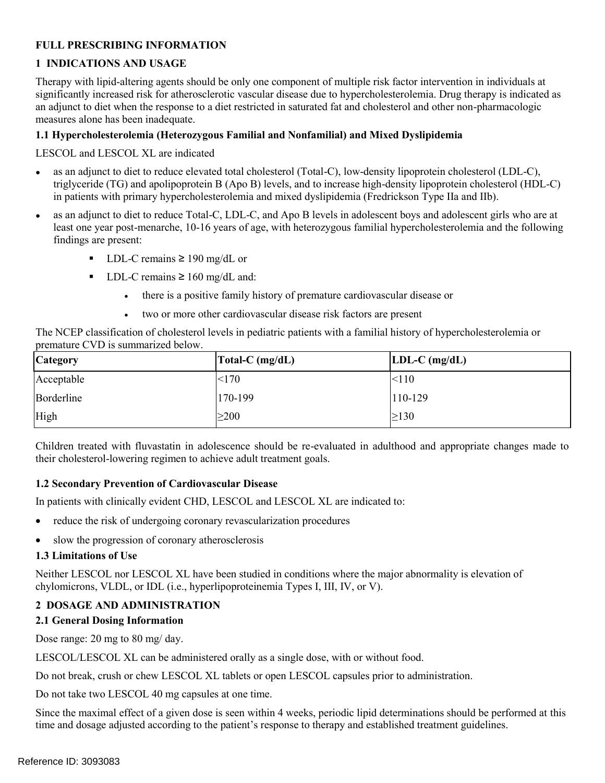# **FULL PRESCRIBING INFORMATION**

# **1 INDICATIONS AND USAGE**

 an adjunct to diet when the response to a diet restricted in saturated fat and cholesterol and other non-pharmacologic Therapy with lipid-altering agents should be only one component of multiple risk factor intervention in individuals at significantly increased risk for atherosclerotic vascular disease due to hypercholesterolemia. Drug therapy is indicated as measures alone has been inadequate.

#### **1.1 Hypercholesterolemia (Heterozygous Familial and Nonfamilial) and Mixed Dyslipidemia**

LESCOL and LESCOL XL are indicated

- as an adjunct to diet to reduce elevated total cholesterol (Total-C), low-density lipoprotein cholesterol (LDL-C), triglyceride (TG) and apolipoprotein B (Apo B) levels, and to increase high-density lipoprotein cholesterol (HDL-C) in patients with primary hypercholesterolemia and mixed dyslipidemia (Fredrickson Type IIa and IIb).
- as an adjunct to diet to reduce Total-C, LDL-C, and Apo B levels in adolescent boys and adolescent girls who are at least one year post-menarche, 10-16 years of age, with heterozygous familial hypercholesterolemia and the following findings are present:
	- LDL-C remains  $\geq$  190 mg/dL or
	- LDL-C remains  $\geq 160$  mg/dL and:
		- there is a positive family history of premature cardiovascular disease or
		- two or more other cardiovascular disease risk factors are present

The NCEP classification of cholesterol levels in pediatric patients with a familial history of hypercholesterolemia or premature CVD is summarized below.

| <b>Category</b> | Total-C $(mg/dL)$ | $LDL-C$ (mg/dL) |
|-----------------|-------------------|-----------------|
| Acceptable      | <170              | < 110           |
| Borderline      | 170-199           | 110-129         |
| High            | $\geq$ 200        | $\geq$ 130      |

 Children treated with fluvastatin in adolescence should be re-evaluated in adulthood and appropriate changes made to their cholesterol-lowering regimen to achieve adult treatment goals.

#### **1.2 Secondary Prevention of Cardiovascular Disease**

In patients with clinically evident CHD, LESCOL and LESCOL XL are indicated to:

- reduce the risk of undergoing coronary revascularization procedures
- slow the progression of coronary atherosclerosis

#### **1.3 Limitations of Use**

Neither LESCOL nor LESCOL XL have been studied in conditions where the major abnormality is elevation of chylomicrons, VLDL, or IDL (i.e., hyperlipoproteinemia Types I, III, IV, or V).

### **2 DOSAGE AND ADMINISTRATION**

### **2.1 General Dosing Information**

Dose range: 20 mg to 80 mg/ day.

LESCOL/LESCOL XL can be administered orally as a single dose, with or without food.

Do not break, crush or chew LESCOL XL tablets or open LESCOL capsules prior to administration.

Do not take two LESCOL 40 mg capsules at one time.

Since the maximal effect of a given dose is seen within 4 weeks, periodic lipid determinations should be performed at this time and dosage adjusted according to the patient's response to therapy and established treatment guidelines.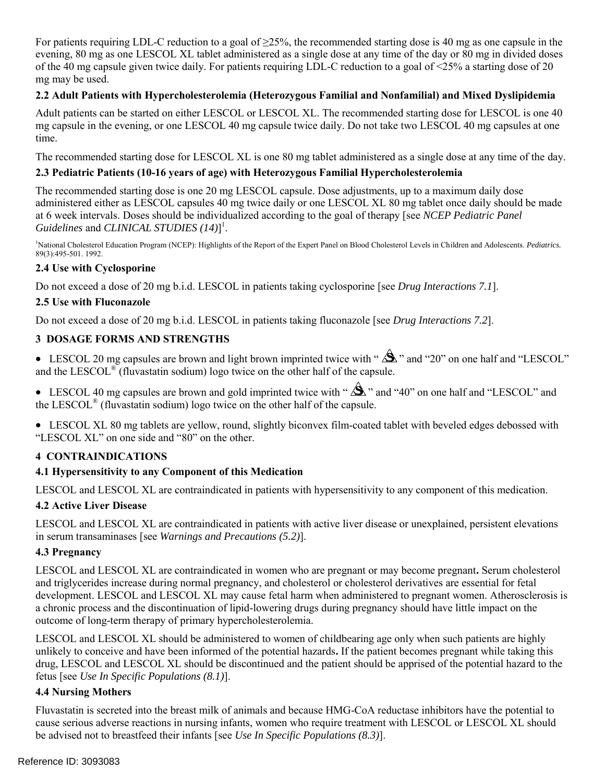For patients requiring LDL-C reduction to a goal of ≥25%, the recommended starting dose is 40 mg as one capsule in the evening, 80 mg as one LESCOL XL tablet administered as a single dose at any time of the day or 80 mg in divided doses mg may be used. of the 40 mg capsule given twice daily. For patients requiring LDL-C reduction to a goal of <25% a starting dose of 20

# **2.2 Adult Patients with Hypercholesterolemia (Heterozygous Familial and Nonfamilial) and Mixed Dyslipidemia**

Adult patients can be started on either LESCOL or LESCOL XL. The recommended starting dose for LESCOL is one 40 mg capsule in the evening, or one LESCOL 40 mg capsule twice daily. Do not take two LESCOL 40 mg capsules at one time.

The recommended starting dose for LESCOL XL is one 80 mg tablet administered as a single dose at any time of the day.

# **2.3 Pediatric Patients (10-16 years of age) with Heterozygous Familial Hypercholesterolemia**

 *Guidelines* and *CLINICAL STUDIES (14)*] 1 . The recommended starting dose is one 20 mg LESCOL capsule. Dose adjustments, up to a maximum daily dose administered either as LESCOL capsules 40 mg twice daily or one LESCOL XL 80 mg tablet once daily should be made at 6 week intervals. Doses should be individualized according to the goal of therapy [see *NCEP Pediatric Panel* 

<sup>1</sup>National Cholesterol Education Program (NCEP): Highlights of the Report of the Expert Panel on Blood Cholesterol Levels in Children and Adolescents. *Pediatrics*. 89(3):495-501. 1992.

### **2.4 Use with Cyclosporine**

Do not exceed a dose of 20 mg b.i.d. LESCOL in patients taking cyclosporine [see *Drug Interactions 7.1*].

# **2.5 Use with Fluconazole**

Do not exceed a dose of 20 mg b.i.d. LESCOL in patients taking fluconazole [see *Drug Interactions 7.2*].

# **3 DOSAGE FORMS AND STRENGTHS**

• LESCOL 20 mg capsules are brown and light brown imprinted twice with " $\Delta$ " and "20" on one half and "LESCOL" and the LESCOL<sup>®</sup> (fluvastatin sodium) logo twice on the other half of the capsule.

• LESCOL 40 mg capsules are brown and gold imprinted twice with " $\Delta$ " and "40" on one half and "LESCOL" and the LESCOL<sup>®</sup> (fluvastatin sodium) logo twice on the other half of the capsule.

 LESCOL XL 80 mg tablets are yellow, round, slightly biconvex film-coated tablet with beveled edges debossed with "LESCOL XL" on one side and "80" on the other.

# **4 CONTRAINDICATIONS**

### **4.1 Hypersensitivity to any Component of this Medication**

LESCOL and LESCOL XL are contraindicated in patients with hypersensitivity to any component of this medication.

### **4.2 Active Liver Disease**

LESCOL and LESCOL XL are contraindicated in patients with active liver disease or unexplained, persistent elevations in serum transaminases [see *Warnings and Precautions (5.2)*].

### **4.3 Pregnancy**

 LESCOL and LESCOL XL are contraindicated in women who are pregnant or may become pregnant**.** Serum cholesterol and triglycerides increase during normal pregnancy, and cholesterol or cholesterol derivatives are essential for fetal development. LESCOL and LESCOL XL may cause fetal harm when administered to pregnant women. Atherosclerosis is a chronic process and the discontinuation of lipid-lowering drugs during pregnancy should have little impact on the outcome of long-term therapy of primary hypercholesterolemia.

 unlikely to conceive and have been informed of the potential hazards**.** If the patient becomes pregnant while taking this LESCOL and LESCOL XL should be administered to women of childbearing age only when such patients are highly drug, LESCOL and LESCOL XL should be discontinued and the patient should be apprised of the potential hazard to the fetus [see *Use In Specific Populations (8.1)*].

### **4.4 Nursing Mothers**

Fluvastatin is secreted into the breast milk of animals and because HMG-CoA reductase inhibitors have the potential to cause serious adverse reactions in nursing infants, women who require treatment with LESCOL or LESCOL XL should be advised not to breastfeed their infants [see *Use In Specific Populations (8.3)*].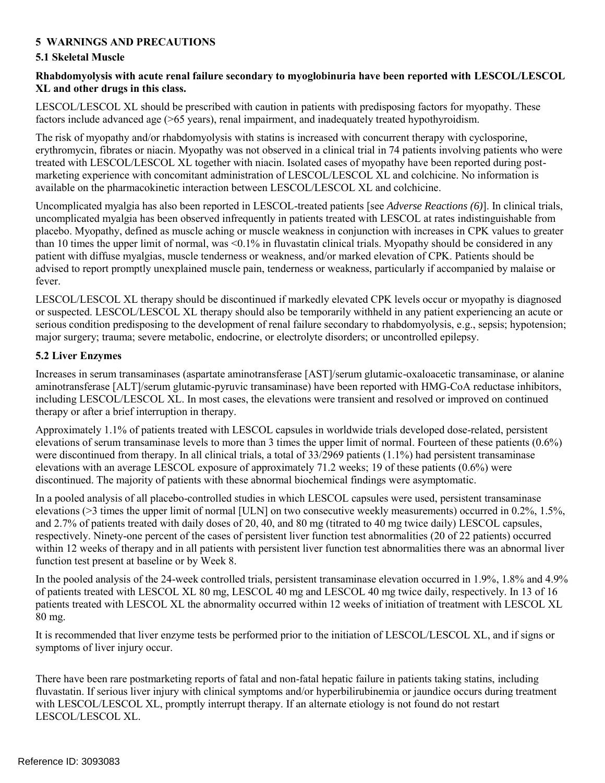# **5 WARNINGS AND PRECAUTIONS**

### **5.1 Skeletal Muscle**

#### **Rhabdomyolysis with acute renal failure secondary to myoglobinuria have been reported with LESCOL/LESCOL XL and other drugs in this class.**

LESCOL/LESCOL XL should be prescribed with caution in patients with predisposing factors for myopathy. These factors include advanced age (>65 years), renal impairment, and inadequately treated hypothyroidism.

 erythromycin, fibrates or niacin. Myopathy was not observed in a clinical trial in 74 patients involving patients who were The risk of myopathy and/or rhabdomyolysis with statins is increased with concurrent therapy with cyclosporine, treated with LESCOL/LESCOL XL together with niacin. Isolated cases of myopathy have been reported during postmarketing experience with concomitant administration of LESCOL/LESCOL XL and colchicine. No information is available on the pharmacokinetic interaction between LESCOL/LESCOL XL and colchicine.

 advised to report promptly unexplained muscle pain, tenderness or weakness, particularly if accompanied by malaise or Uncomplicated myalgia has also been reported in LESCOL-treated patients [see *Adverse Reactions (6)*]. In clinical trials, uncomplicated myalgia has been observed infrequently in patients treated with LESCOL at rates indistinguishable from placebo. Myopathy, defined as muscle aching or muscle weakness in conjunction with increases in CPK values to greater than 10 times the upper limit of normal, was <0.1% in fluvastatin clinical trials. Myopathy should be considered in any patient with diffuse myalgias, muscle tenderness or weakness, and/or marked elevation of CPK. Patients should be fever.

 serious condition predisposing to the development of renal failure secondary to rhabdomyolysis, e.g., sepsis; hypotension; major surgery; trauma; severe metabolic, endocrine, or electrolyte disorders; or uncontrolled epilepsy. LESCOL/LESCOL XL therapy should be discontinued if markedly elevated CPK levels occur or myopathy is diagnosed or suspected. LESCOL/LESCOL XL therapy should also be temporarily withheld in any patient experiencing an acute or

#### **5.2 Liver Enzymes**

Increases in serum transaminases (aspartate aminotransferase [AST]/serum glutamic-oxaloacetic transaminase, or alanine aminotransferase [ALT]/serum glutamic-pyruvic transaminase) have been reported with HMG-CoA reductase inhibitors, including LESCOL/LESCOL XL. In most cases, the elevations were transient and resolved or improved on continued therapy or after a brief interruption in therapy.

Approximately 1.1% of patients treated with LESCOL capsules in worldwide trials developed dose-related, persistent elevations of serum transaminase levels to more than 3 times the upper limit of normal. Fourteen of these patients (0.6%) were discontinued from therapy. In all clinical trials, a total of 33/2969 patients (1.1%) had persistent transaminase elevations with an average LESCOL exposure of approximately 71.2 weeks; 19 of these patients (0.6%) were discontinued. The majority of patients with these abnormal biochemical findings were asymptomatic.

 elevations (>3 times the upper limit of normal [ULN] on two consecutive weekly measurements) occurred in 0.2%, 1.5%, respectively. Ninety-one percent of the cases of persistent liver function test abnormalities (20 of 22 patients) occurred In a pooled analysis of all placebo-controlled studies in which LESCOL capsules were used, persistent transaminase and 2.7% of patients treated with daily doses of 20, 40, and 80 mg (titrated to 40 mg twice daily) LESCOL capsules, within 12 weeks of therapy and in all patients with persistent liver function test abnormalities there was an abnormal liver function test present at baseline or by Week 8.

In the pooled analysis of the 24-week controlled trials, persistent transaminase elevation occurred in 1.9%, 1.8% and 4.9% of patients treated with LESCOL XL 80 mg, LESCOL 40 mg and LESCOL 40 mg twice daily, respectively. In 13 of 16 patients treated with LESCOL XL the abnormality occurred within 12 weeks of initiation of treatment with LESCOL XL 80 mg.

 It is recommended that liver enzyme tests be performed prior to the initiation of LESCOL/LESCOL XL, and if signs or symptoms of liver injury occur.

 There have been rare postmarketing reports of fatal and non-fatal hepatic failure in patients taking statins, including fluvastatin. If serious liver injury with clinical symptoms and/or hyperbilirubinemia or jaundice occurs during treatment with LESCOL/LESCOL XL, promptly interrupt therapy. If an alternate etiology is not found do not restart LESCOL/LESCOL XL.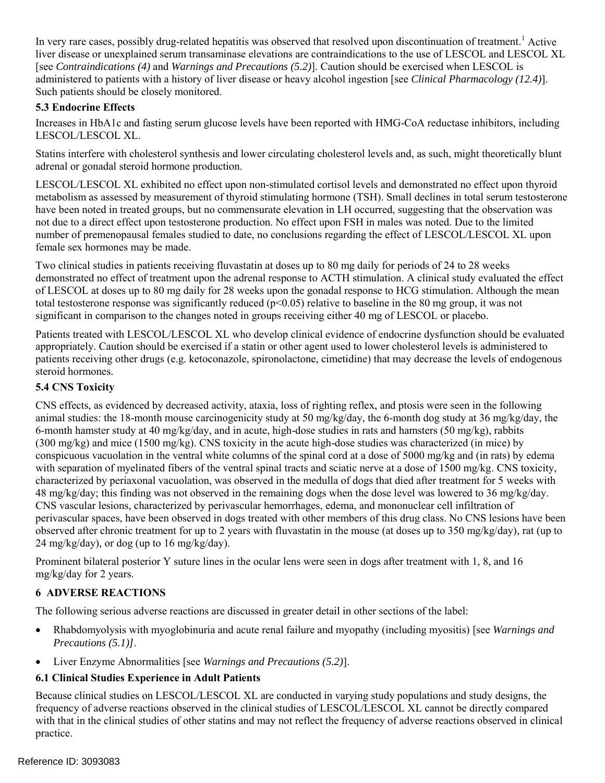[see *Contraindications (4)* and *Warnings and Precautions (5.2)*]. Caution should be exercised when LESCOL is In very rare cases, possibly drug-related hepatitis was observed that resolved upon discontinuation of treatment.<sup>1</sup> Active liver disease or unexplained serum transaminase elevations are contraindications to the use of LESCOL and LESCOL XL administered to patients with a history of liver disease or heavy alcohol ingestion [see *Clinical Pharmacology (12.4)*]. Such patients should be closely monitored.

# **5.3 Endocrine Effects**

Increases in HbA1c and fasting serum glucose levels have been reported with HMG-CoA reductase inhibitors, including LESCOL/LESCOL XL.

Statins interfere with cholesterol synthesis and lower circulating cholesterol levels and, as such, might theoretically blunt adrenal or gonadal steroid hormone production.

 female sex hormones may be made. LESCOL/LESCOL XL exhibited no effect upon non-stimulated cortisol levels and demonstrated no effect upon thyroid metabolism as assessed by measurement of thyroid stimulating hormone (TSH). Small declines in total serum testosterone have been noted in treated groups, but no commensurate elevation in LH occurred, suggesting that the observation was not due to a direct effect upon testosterone production. No effect upon FSH in males was noted. Due to the limited number of premenopausal females studied to date, no conclusions regarding the effect of LESCOL/LESCOL XL upon

 of LESCOL at doses up to 80 mg daily for 28 weeks upon the gonadal response to HCG stimulation. Although the mean total testosterone response was significantly reduced (p<0.05) relative to baseline in the 80 mg group, it was not significant in comparison to the changes noted in groups receiving either 40 mg of LESCOL or placebo. Two clinical studies in patients receiving fluvastatin at doses up to 80 mg daily for periods of 24 to 28 weeks demonstrated no effect of treatment upon the adrenal response to ACTH stimulation. A clinical study evaluated the effect

 Patients treated with LESCOL/LESCOL XL who develop clinical evidence of endocrine dysfunction should be evaluated patients receiving other drugs (e.g. ketoconazole, spironolactone, cimetidine) that may decrease the levels of endogenous appropriately. Caution should be exercised if a statin or other agent used to lower cholesterol levels is administered to steroid hormones.

### **5.4 CNS Toxicity**

 6-month hamster study at 40 mg/kg/day, and in acute, high-dose studies in rats and hamsters (50 mg/kg), rabbits characterized by periaxonal vacuolation, was observed in the medulla of dogs that died after treatment for 5 weeks with observed after chronic treatment for up to 2 years with fluvastatin in the mouse (at doses up to 350 mg/kg/day), rat (up to CNS effects, as evidenced by decreased activity, ataxia, loss of righting reflex, and ptosis were seen in the following animal studies: the 18-month mouse carcinogenicity study at 50 mg/kg/day, the 6-month dog study at 36 mg/kg/day, the (300 mg/kg) and mice (1500 mg/kg). CNS toxicity in the acute high-dose studies was characterized (in mice) by conspicuous vacuolation in the ventral white columns of the spinal cord at a dose of 5000 mg/kg and (in rats) by edema with separation of myelinated fibers of the ventral spinal tracts and sciatic nerve at a dose of 1500 mg/kg. CNS toxicity, 48 mg/kg/day; this finding was not observed in the remaining dogs when the dose level was lowered to 36 mg/kg/day. CNS vascular lesions, characterized by perivascular hemorrhages, edema, and mononuclear cell infiltration of perivascular spaces, have been observed in dogs treated with other members of this drug class. No CNS lesions have been  $24 \text{ mg/kg/day}$ , or dog (up to 16 mg/kg/day).

Prominent bilateral posterior Y suture lines in the ocular lens were seen in dogs after treatment with 1, 8, and 16 mg/kg/day for 2 years.

# **6 ADVERSE REACTIONS**

The following serious adverse reactions are discussed in greater detail in other sections of the label:

- Rhabdomyolysis with myoglobinuria and acute renal failure and myopathy (including myositis) [see *Warnings and Precautions (5.1)]*.
- Liver Enzyme Abnormalities [see *Warnings and Precautions (5.2)*].

### **6.1 Clinical Studies Experience in Adult Patients**

 frequency of adverse reactions observed in the clinical studies of LESCOL/LESCOL XL cannot be directly compared Because clinical studies on LESCOL/LESCOL XL are conducted in varying study populations and study designs, the with that in the clinical studies of other statins and may not reflect the frequency of adverse reactions observed in clinical practice.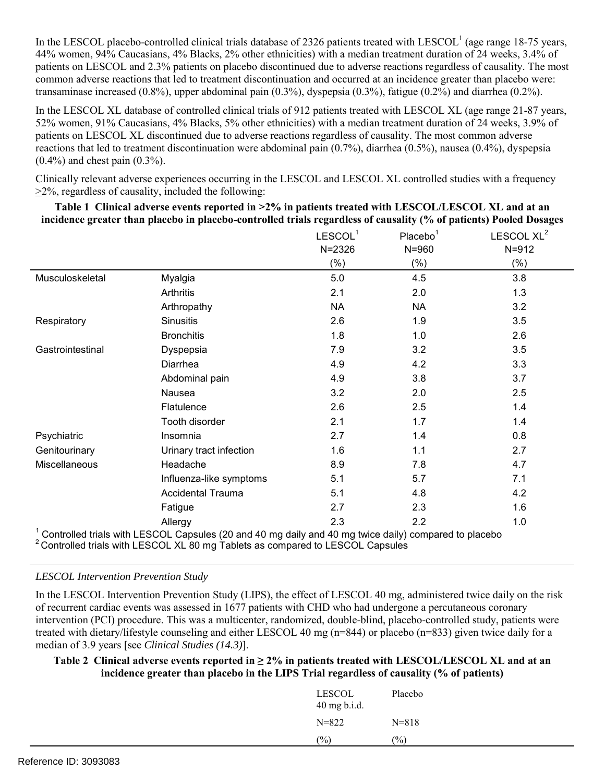transaminase increased (0.8%), upper abdominal pain (0.3%), dyspepsia (0.3%), fatigue (0.2%) and diarrhea (0.2%). In the LESCOL placebo-controlled clinical trials database of 2326 patients treated with LESCOL<sup>1</sup> (age range 18-75 years, 44% women, 94% Caucasians, 4% Blacks, 2% other ethnicities) with a median treatment duration of 24 weeks, 3.4% of patients on LESCOL and 2.3% patients on placebo discontinued due to adverse reactions regardless of causality. The most common adverse reactions that led to treatment discontinuation and occurred at an incidence greater than placebo were:

In the LESCOL XL database of controlled clinical trials of 912 patients treated with LESCOL XL (age range 21-87 years, 52% women, 91% Caucasians, 4% Blacks, 5% other ethnicities) with a median treatment duration of 24 weeks, 3.9% of patients on LESCOL XL discontinued due to adverse reactions regardless of causality. The most common adverse reactions that led to treatment discontinuation were abdominal pain  $(0.7%)$ , diarrhea  $(0.5%)$ , nausea  $(0.4%)$ , dyspepsia  $(0.4\%)$  and chest pain  $(0.3\%)$ .

 Clinically relevant adverse experiences occurring in the LESCOL and LESCOL XL controlled studies with a frequency  $\geq$ 2%, regardless of causality, included the following:

 **Table 1 Clinical adverse events reported in >2% in patients treated with LESCOL/LESCOL XL and at an incidence greater than placebo in placebo-controlled trials regardless of causality (% of patients) Pooled Dosages** 

|                  |                                                                                                       | LESCOL <sup>1</sup> | Placebo <sup>1</sup> | LESCOL XL <sup>2</sup> |
|------------------|-------------------------------------------------------------------------------------------------------|---------------------|----------------------|------------------------|
|                  |                                                                                                       | $N = 2326$          | $N = 960$            | $N = 912$              |
|                  |                                                                                                       | $(\% )$             | $(\% )$              | $(\% )$                |
| Musculoskeletal  | Myalgia                                                                                               | 5.0                 | 4.5                  | 3.8                    |
|                  | Arthritis                                                                                             | 2.1                 | 2.0                  | 1.3                    |
|                  | Arthropathy                                                                                           | <b>NA</b>           | <b>NA</b>            | 3.2                    |
| Respiratory      | <b>Sinusitis</b>                                                                                      | 2.6                 | 1.9                  | 3.5                    |
|                  | <b>Bronchitis</b>                                                                                     | 1.8                 | 1.0                  | 2.6                    |
| Gastrointestinal | Dyspepsia                                                                                             | 7.9                 | 3.2                  | 3.5                    |
|                  | Diarrhea                                                                                              | 4.9                 | 4.2                  | 3.3                    |
|                  | Abdominal pain                                                                                        | 4.9                 | 3.8                  | 3.7                    |
|                  | Nausea                                                                                                | 3.2                 | 2.0                  | 2.5                    |
|                  | Flatulence                                                                                            | 2.6                 | 2.5                  | 1.4                    |
|                  | Tooth disorder                                                                                        | 2.1                 | 1.7                  | 1.4                    |
| Psychiatric      | Insomnia                                                                                              | 2.7                 | 1.4                  | 0.8                    |
| Genitourinary    | Urinary tract infection                                                                               | 1.6                 | 1.1                  | 2.7                    |
| Miscellaneous    | Headache                                                                                              | 8.9                 | 7.8                  | 4.7                    |
|                  | Influenza-like symptoms                                                                               | 5.1                 | 5.7                  | 7.1                    |
|                  | <b>Accidental Trauma</b>                                                                              | 5.1                 | 4.8                  | 4.2                    |
|                  | Fatigue                                                                                               | 2.7                 | 2.3                  | 1.6                    |
|                  | Allergy                                                                                               | 2.3                 | 2.2                  | 1.0                    |
|                  | Controlled trials with LESCOL Capsules (20 and 40 mg daily and 40 mg twice daily) compared to placebo |                     |                      |                        |

<sup>2</sup> Controlled trials with LESCOL XL 80 mg Tablets as compared to LESCOL Capsules

### *LESCOL Intervention Prevention Study*

In the LESCOL Intervention Prevention Study (LIPS), the effect of LESCOL 40 mg, administered twice daily on the risk of recurrent cardiac events was assessed in 1677 patients with CHD who had undergone a percutaneous coronary intervention (PCI) procedure. This was a multicenter, randomized, double-blind, placebo-controlled study, patients were treated with dietary/lifestyle counseling and either LESCOL 40 mg (n=844) or placebo (n=833) given twice daily for a median of 3.9 years [see *Clinical Studies (14.3)*].

#### **Table 2 Clinical adverse events reported in ≥ 2% in patients treated with LESCOL/LESCOL XL and at an incidence greater than placebo in the LIPS Trial regardless of causality (% of patients)**

| <b>LESCOL</b><br>$40$ mg b.i.d. | Placebo   |
|---------------------------------|-----------|
| $N = 822$                       | $N = 818$ |
| $(\%)$                          | (%)       |
|                                 |           |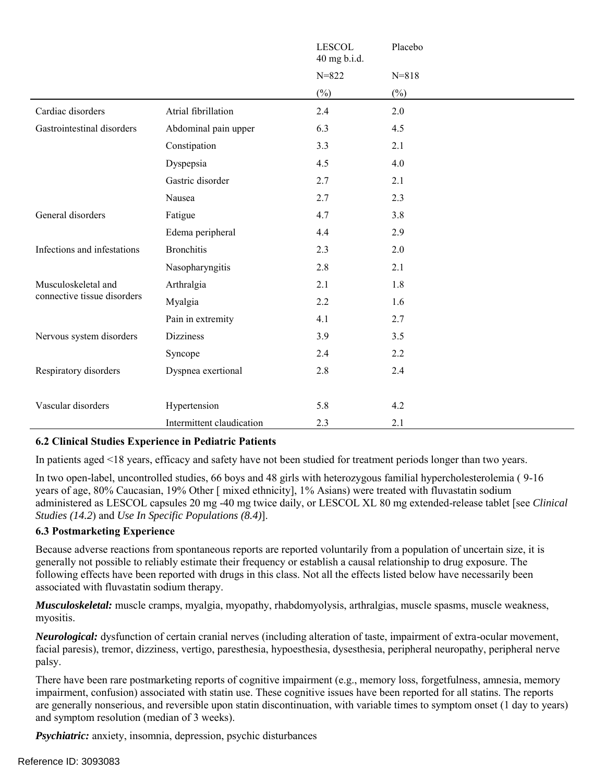|                             |                           | <b>LESCOL</b><br>40 mg b.i.d. | Placebo   |
|-----------------------------|---------------------------|-------------------------------|-----------|
|                             |                           | $N = 822$                     | $N = 818$ |
|                             |                           | $(\%)$                        | $(\%)$    |
| Cardiac disorders           | Atrial fibrillation       | 2.4                           | 2.0       |
| Gastrointestinal disorders  | Abdominal pain upper      | 6.3                           | 4.5       |
|                             | Constipation              | 3.3                           | 2.1       |
|                             | Dyspepsia                 | 4.5                           | 4.0       |
|                             | Gastric disorder          | 2.7                           | 2.1       |
|                             | Nausea                    | 2.7                           | 2.3       |
| General disorders           | Fatigue                   | 4.7                           | 3.8       |
|                             | Edema peripheral          | 4.4                           | 2.9       |
| Infections and infestations | <b>Bronchitis</b>         | 2.3                           | 2.0       |
|                             | Nasopharyngitis           | 2.8                           | 2.1       |
| Musculoskeletal and         | Arthralgia                | 2.1                           | 1.8       |
| connective tissue disorders | Myalgia                   | 2.2                           | 1.6       |
|                             | Pain in extremity         | 4.1                           | 2.7       |
| Nervous system disorders    | <b>Dizziness</b>          | 3.9                           | 3.5       |
|                             | Syncope                   | 2.4                           | 2.2       |
| Respiratory disorders       | Dyspnea exertional        | 2.8                           | 2.4       |
|                             |                           |                               |           |
| Vascular disorders          | Hypertension              | 5.8                           | 4.2       |
|                             | Intermittent claudication | 2.3                           | 2.1       |

# **6.2 Clinical Studies Experience in Pediatric Patients**

In patients aged <18 years, efficacy and safety have not been studied for treatment periods longer than two years.

 administered as LESCOL capsules 20 mg -40 mg twice daily, or LESCOL XL 80 mg extended-release tablet [see *Clinical Studies (14.2*) and *Use In Specific Populations (8.4)*]. In two open-label, uncontrolled studies, 66 boys and 48 girls with heterozygous familial hypercholesterolemia ( 9-16 years of age, 80% Caucasian, 19% Other [ mixed ethnicity], 1% Asians) were treated with fluvastatin sodium

#### **6.3 Postmarketing Experience**

Because adverse reactions from spontaneous reports are reported voluntarily from a population of uncertain size, it is generally not possible to reliably estimate their frequency or establish a causal relationship to drug exposure. The following effects have been reported with drugs in this class. Not all the effects listed below have necessarily been associated with fluvastatin sodium therapy.

*Musculoskeletal:* muscle cramps, myalgia, myopathy, rhabdomyolysis, arthralgias, muscle spasms, muscle weakness, myositis.

*Neurological:* dysfunction of certain cranial nerves (including alteration of taste, impairment of extra-ocular movement, facial paresis), tremor, dizziness, vertigo, paresthesia, hypoesthesia, dysesthesia, peripheral neuropathy, peripheral nerve palsy.

There have been rare postmarketing reports of cognitive impairment (e.g., memory loss, forgetfulness, amnesia, memory impairment, confusion) associated with statin use. These cognitive issues have been reported for all statins. The reports are generally nonserious, and reversible upon statin discontinuation, with variable times to symptom onset (1 day to years) and symptom resolution (median of 3 weeks).

*Psychiatric:* anxiety, insomnia, depression, psychic disturbances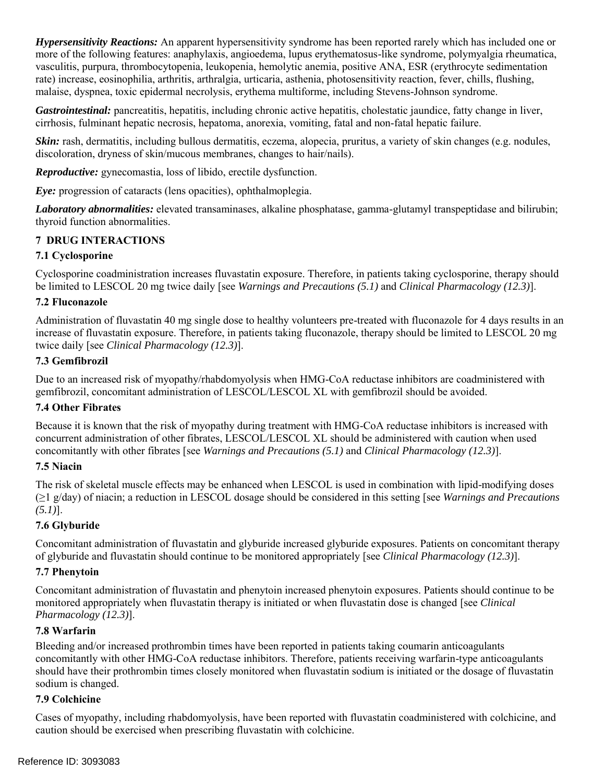*Hypersensitivity Reactions:* An apparent hypersensitivity syndrome has been reported rarely which has included one or more of the following features: anaphylaxis, angioedema, lupus erythematosus-like syndrome, polymyalgia rheumatica, vasculitis, purpura, thrombocytopenia, leukopenia, hemolytic anemia, positive ANA, ESR (erythrocyte sedimentation rate) increase, eosinophilia, arthritis, arthralgia, urticaria, asthenia, photosensitivity reaction, fever, chills, flushing, malaise, dyspnea, toxic epidermal necrolysis, erythema multiforme, including Stevens-Johnson syndrome.

*Gastrointestinal:* pancreatitis, hepatitis, including chronic active hepatitis, cholestatic jaundice, fatty change in liver, cirrhosis, fulminant hepatic necrosis, hepatoma, anorexia, vomiting, fatal and non-fatal hepatic failure.

*Skin:* rash, dermatitis, including bullous dermatitis, eczema, alopecia, pruritus, a variety of skin changes (e.g. nodules, discoloration, dryness of skin/mucous membranes, changes to hair/nails).

*Reproductive:* gynecomastia, loss of libido, erectile dysfunction.

*Eye:* progression of cataracts (lens opacities), ophthalmoplegia.

*Laboratory abnormalities:* elevated transaminases, alkaline phosphatase, gamma-glutamyl transpeptidase and bilirubin; thyroid function abnormalities.

# **7 DRUG INTERACTIONS**

#### **7.1 Cyclosporine**

 Cyclosporine coadministration increases fluvastatin exposure. Therefore, in patients taking cyclosporine, therapy should be limited to LESCOL 20 mg twice daily [see *Warnings and Precautions (5.1)* and *Clinical Pharmacology (12.3)*].

#### **7.2 Fluconazole**

Administration of fluvastatin 40 mg single dose to healthy volunteers pre-treated with fluconazole for 4 days results in an increase of fluvastatin exposure. Therefore, in patients taking fluconazole, therapy should be limited to LESCOL 20 mg twice daily [see *Clinical Pharmacology (12.3)*].

#### **7.3 Gemfibrozil**

Due to an increased risk of myopathy/rhabdomyolysis when HMG-CoA reductase inhibitors are coadministered with gemfibrozil, concomitant administration of LESCOL/LESCOL XL with gemfibrozil should be avoided.

### **7.4 Other Fibrates**

 concurrent administration of other fibrates, LESCOL/LESCOL XL should be administered with caution when used  concomitantly with other fibrates [see *Warnings and Precautions (5.1)* and *Clinical Pharmacology (12.3)*]. Because it is known that the risk of myopathy during treatment with HMG-CoA reductase inhibitors is increased with

#### **7.5 Niacin**

The risk of skeletal muscle effects may be enhanced when LESCOL is used in combination with lipid-modifying doses (≥1 g/day) of niacin; a reduction in LESCOL dosage should be considered in this setting [see *Warnings and Precautions (5.1)*].

# **7.6 Glyburide**

 Concomitant administration of fluvastatin and glyburide increased glyburide exposures. Patients on concomitant therapy of glyburide and fluvastatin should continue to be monitored appropriately [see *Clinical Pharmacology (12.3)*].

### **7.7 Phenytoin**

 monitored appropriately when fluvastatin therapy is initiated or when fluvastatin dose is changed [see *Clinical*  Concomitant administration of fluvastatin and phenytoin increased phenytoin exposures. Patients should continue to be *Pharmacology (12.3)*].

### **7.8 Warfarin**

Bleeding and/or increased prothrombin times have been reported in patients taking coumarin anticoagulants concomitantly with other HMG-CoA reductase inhibitors. Therefore, patients receiving warfarin-type anticoagulants should have their prothrombin times closely monitored when fluvastatin sodium is initiated or the dosage of fluvastatin sodium is changed.

#### **7.9 Colchicine**

Cases of myopathy, including rhabdomyolysis, have been reported with fluvastatin coadministered with colchicine, and caution should be exercised when prescribing fluvastatin with colchicine.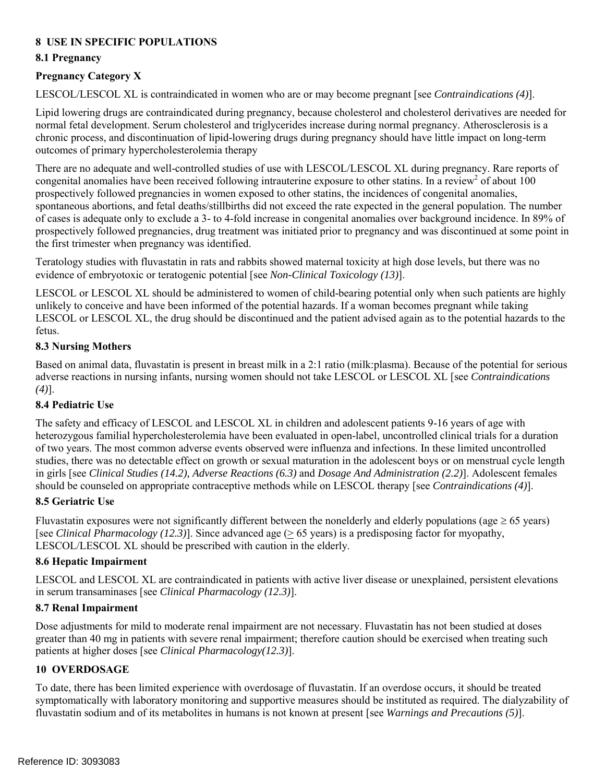# **8 USE IN SPECIFIC POPULATIONS**

## **8.1 Pregnancy**

# **Pregnancy Category X**

LESCOL/LESCOL XL is contraindicated in women who are or may become pregnant [see *Contraindications (4)*].

Lipid lowering drugs are contraindicated during pregnancy, because cholesterol and cholesterol derivatives are needed for normal fetal development. Serum cholesterol and triglycerides increase during normal pregnancy. Atherosclerosis is a chronic process, and discontinuation of lipid-lowering drugs during pregnancy should have little impact on long-term outcomes of primary hypercholesterolemia therapy

congenital anomalies have been received following intrauterine exposure to other statins. In a review<sup>2</sup> of about  $100$  prospectively followed pregnancies, drug treatment was initiated prior to pregnancy and was discontinued at some point in There are no adequate and well-controlled studies of use with LESCOL/LESCOL XL during pregnancy. Rare reports of prospectively followed pregnancies in women exposed to other statins, the incidences of congenital anomalies, spontaneous abortions, and fetal deaths/stillbirths did not exceed the rate expected in the general population. The number of cases is adequate only to exclude a 3- to 4-fold increase in congenital anomalies over background incidence. In 89% of the first trimester when pregnancy was identified.

 Teratology studies with fluvastatin in rats and rabbits showed maternal toxicity at high dose levels, but there was no evidence of embryotoxic or teratogenic potential [see *Non-Clinical Toxicology (13)*].

 LESCOL or LESCOL XL should be administered to women of child-bearing potential only when such patients are highly unlikely to conceive and have been informed of the potential hazards. If a woman becomes pregnant while taking LESCOL or LESCOL XL, the drug should be discontinued and the patient advised again as to the potential hazards to the fetus.

### **8.3 Nursing Mothers**

 Based on animal data, fluvastatin is present in breast milk in a 2:1 ratio (milk:plasma). Because of the potential for serious adverse reactions in nursing infants, nursing women should not take LESCOL or LESCOL XL [see *Contraindications (4)*].

### **8.4 Pediatric Use**

 in girls [see *Clinical Studies (14.2), Adverse Reactions (6.3)* and *Dosage And Administration (2.2)*]. Adolescent females  should be counseled on appropriate contraceptive methods while on LESCOL therapy [see *Contraindications (4)*]. The safety and efficacy of LESCOL and LESCOL XL in children and adolescent patients 9-16 years of age with heterozygous familial hypercholesterolemia have been evaluated in open-label, uncontrolled clinical trials for a duration of two years. The most common adverse events observed were influenza and infections. In these limited uncontrolled studies, there was no detectable effect on growth or sexual maturation in the adolescent boys or on menstrual cycle length

### **8.5 Geriatric Use**

Fluvastatin exposures were not significantly different between the nonelderly and elderly populations (age  $\geq 65$  years) [see *Clinical Pharmacology (12.3)*]. Since advanced age ( $\geq$  65 years) is a predisposing factor for myopathy, LESCOL/LESCOL XL should be prescribed with caution in the elderly.

### **8.6 Hepatic Impairment**

 LESCOL and LESCOL XL are contraindicated in patients with active liver disease or unexplained, persistent elevations in serum transaminases [see *Clinical Pharmacology (12.3)*].

### **8.7 Renal Impairment**

Dose adjustments for mild to moderate renal impairment are not necessary. Fluvastatin has not been studied at doses greater than 40 mg in patients with severe renal impairment; therefore caution should be exercised when treating such patients at higher doses [see *Clinical Pharmacology(12.3)*].

# **10 OVERDOSAGE**

 fluvastatin sodium and of its metabolites in humans is not known at present [see *Warnings and Precautions (5)*]. To date, there has been limited experience with overdosage of fluvastatin. If an overdose occurs, it should be treated symptomatically with laboratory monitoring and supportive measures should be instituted as required. The dialyzability of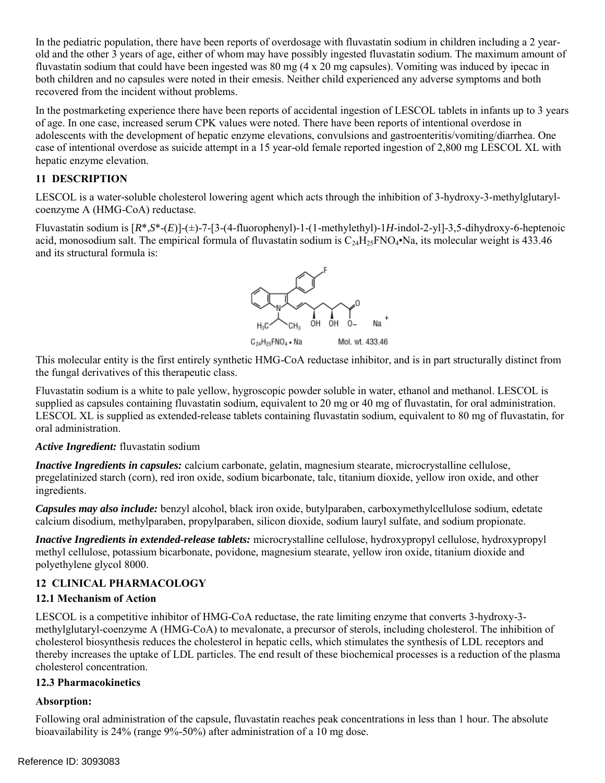In the pediatric population, there have been reports of overdosage with fluvastatin sodium in children including a 2 yearold and the other 3 years of age, either of whom may have possibly ingested fluvastatin sodium. The maximum amount of fluvastatin sodium that could have been ingested was 80 mg (4 x 20 mg capsules). Vomiting was induced by ipecac in both children and no capsules were noted in their emesis. Neither child experienced any adverse symptoms and both recovered from the incident without problems.

 case of intentional overdose as suicide attempt in a 15 year-old female reported ingestion of 2,800 mg LESCOL XL with In the postmarketing experience there have been reports of accidental ingestion of LESCOL tablets in infants up to 3 years of age. In one case, increased serum CPK values were noted. There have been reports of intentional overdose in adolescents with the development of hepatic enzyme elevations, convulsions and gastroenteritis/vomiting/diarrhea. One hepatic enzyme elevation.

# **11 DESCRIPTION**

LESCOL is a water-soluble cholesterol lowering agent which acts through the inhibition of 3-hydroxy-3-methylglutarylcoenzyme A (HMG-CoA) reductase.

 and its structural formula is: Fluvastatin sodium is [*R*\*,*S*\*-(*E*)]-(±)-7-[3-(4-fluorophenyl)-1-(1-methylethyl)-1*H*-indol-2-yl]-3,5-dihydroxy-6-heptenoic acid, monosodium salt. The empirical formula of fluvastatin sodium is  $C_{24}H_{25}FNO_4 \cdot Na$ , its molecular weight is 433.46



C<sub>24</sub>H<sub>25</sub>FNO<sub>4</sub> · Na Mol. wt. 433.46

 This molecular entity is the first entirely synthetic HMG-CoA reductase inhibitor, and is in part structurally distinct from the fungal derivatives of this therapeutic class.

Fluvastatin sodium is a white to pale yellow, hygroscopic powder soluble in water, ethanol and methanol. LESCOL is supplied as capsules containing fluvastatin sodium, equivalent to 20 mg or 40 mg of fluvastatin, for oral administration. LESCOL XL is supplied as extended-release tablets containing fluvastatin sodium, equivalent to 80 mg of fluvastatin, for oral administration.

### *Active Ingredient:* fluvastatin sodium

*Inactive Ingredients in capsules:* calcium carbonate, gelatin, magnesium stearate, microcrystalline cellulose, pregelatinized starch (corn), red iron oxide, sodium bicarbonate, talc, titanium dioxide, yellow iron oxide, and other ingredients.

*Capsules may also include:* benzyl alcohol, black iron oxide, butylparaben, carboxymethylcellulose sodium, edetate calcium disodium, methylparaben, propylparaben, silicon dioxide, sodium lauryl sulfate, and sodium propionate.

*Inactive Ingredients in extended-release tablets:* microcrystalline cellulose, hydroxypropyl cellulose, hydroxypropyl methyl cellulose, potassium bicarbonate, povidone, magnesium stearate, yellow iron oxide, titanium dioxide and polyethylene glycol 8000.

## **12 CLINICAL PHARMACOLOGY**

### **12.1 Mechanism of Action**

 LESCOL is a competitive inhibitor of HMG-CoA reductase, the rate limiting enzyme that converts 3-hydroxy-3- thereby increases the uptake of LDL particles. The end result of these biochemical processes is a reduction of the plasma methylglutaryl-coenzyme A (HMG-CoA) to mevalonate, a precursor of sterols, including cholesterol. The inhibition of cholesterol biosynthesis reduces the cholesterol in hepatic cells, which stimulates the synthesis of LDL receptors and cholesterol concentration.

### **12.3 Pharmacokinetics**

### **Absorption:**

 bioavailability is 24% (range 9%-50%) after administration of a 10 mg dose. Following oral administration of the capsule, fluvastatin reaches peak concentrations in less than 1 hour. The absolute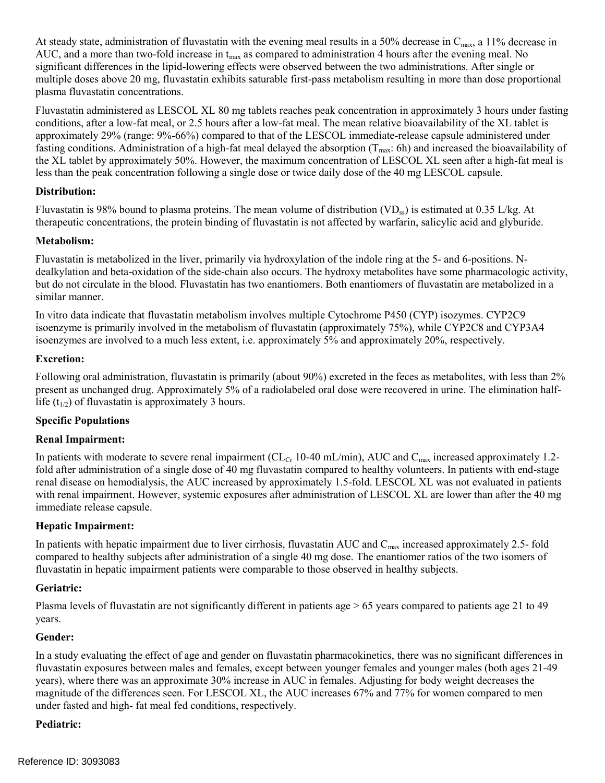At steady state, administration of fluvastatin with the evening meal results in a 50% decrease in  $C_{\text{max}}$ , a 11% decrease in AUC, and a more than two-fold increase in  $t_{max}$  as compared to administration 4 hours after the evening meal. No significant differences in the lipid-lowering effects were observed between the two administrations. After single or multiple doses above 20 mg, fluvastatin exhibits saturable first-pass metabolism resulting in more than dose proportional plasma fluvastatin concentrations.

 Fluvastatin administered as LESCOL XL 80 mg tablets reaches peak concentration in approximately 3 hours under fasting conditions, after a low-fat meal, or 2.5 hours after a low-fat meal. The mean relative bioavailability of the XL tablet is less than the peak concentration following a single dose or twice daily dose of the 40 mg LESCOL capsule. approximately 29% (range: 9%-66%) compared to that of the LESCOL immediate-release capsule administered under fasting conditions. Administration of a high-fat meal delayed the absorption  $(T<sub>max</sub>)$ : 6h) and increased the bioavailability of the XL tablet by approximately 50%. However, the maximum concentration of LESCOL XL seen after a high-fat meal is

#### **Distribution:**

Fluvastatin is 98% bound to plasma proteins. The mean volume of distribution  $(VD_{ss})$  is estimated at 0.35 L/kg. At therapeutic concentrations, the protein binding of fluvastatin is not affected by warfarin, salicylic acid and glyburide.

### **Metabolism:**

Fluvastatin is metabolized in the liver, primarily via hydroxylation of the indole ring at the 5- and 6-positions. Ndealkylation and beta-oxidation of the side-chain also occurs. The hydroxy metabolites have some pharmacologic activity, but do not circulate in the blood. Fluvastatin has two enantiomers. Both enantiomers of fluvastatin are metabolized in a similar manner.

In vitro data indicate that fluvastatin metabolism involves multiple Cytochrome P450 (CYP) isozymes. CYP2C9 isoenzyme is primarily involved in the metabolism of fluvastatin (approximately 75%), while CYP2C8 and CYP3A4 isoenzymes are involved to a much less extent, i.e. approximately 5% and approximately 20%, respectively.

### **Excretion:**

 present as unchanged drug. Approximately 5% of a radiolabeled oral dose were recovered in urine. The elimination halflife  $(t_{1/2})$  of fluvastatin is approximately 3 hours. Following oral administration, fluvastatin is primarily (about 90%) excreted in the feces as metabolites, with less than 2%

### **Specific Populations**

### **Renal Impairment:**

In patients with moderate to severe renal impairment (CL<sub>Cr</sub> 10-40 mL/min), AUC and C<sub>max</sub> increased approximately 1.2fold after administration of a single dose of 40 mg fluvastatin compared to healthy volunteers. In patients with end-stage renal disease on hemodialysis, the AUC increased by approximately 1.5-fold. LESCOL XL was not evaluated in patients with renal impairment. However, systemic exposures after administration of LESCOL XL are lower than after the 40 mg immediate release capsule.

### **Hepatic Impairment:**

In patients with hepatic impairment due to liver cirrhosis, fluvastatin AUC and  $C_{\text{max}}$  increased approximately 2.5- fold compared to healthy subjects after administration of a single 40 mg dose. The enantiomer ratios of the two isomers of fluvastatin in hepatic impairment patients were comparable to those observed in healthy subjects.

### **Geriatric:**

 years. Plasma levels of fluvastatin are not significantly different in patients age > 65 years compared to patients age 21 to 49

### **Gender:**

 fluvastatin exposures between males and females, except between younger females and younger males (both ages 21-49 years), where there was an approximate 30% increase in AUC in females. Adjusting for body weight decreases the magnitude of the differences seen. For LESCOL XL, the AUC increases 67% and 77% for women compared to men under fasted and high- fat meal fed conditions, respectively. In a study evaluating the effect of age and gender on fluvastatin pharmacokinetics, there was no significant differences in

### **Pediatric:**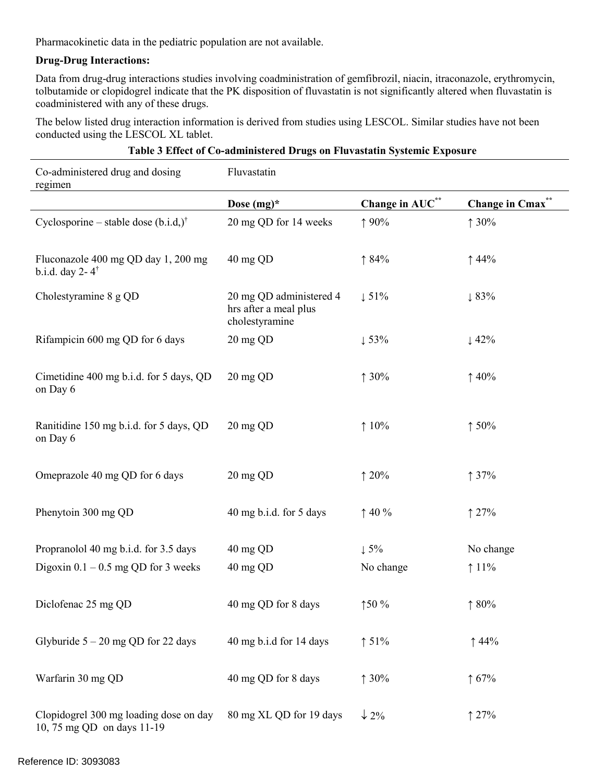Pharmacokinetic data in the pediatric population are not available.

#### **Drug-Drug Interactions:**

 coadministered with any of these drugs. Data from drug-drug interactions studies involving coadministration of gemfibrozil, niacin, itraconazole, erythromycin, tolbutamide or clopidogrel indicate that the PK disposition of fluvastatin is not significantly altered when fluvastatin is

The below listed drug interaction information is derived from studies using LESCOL. Similar studies have not been conducted using the LESCOL XL tablet.

| Co-administered drug and dosing<br>regimen                           | Fluvastatin                                                        |                  |                             |
|----------------------------------------------------------------------|--------------------------------------------------------------------|------------------|-----------------------------|
|                                                                      | Dose $(mg)^*$                                                      | Change in AUC**  | Change in Cmax <sup>*</sup> |
| Cyclosporine – stable dose $(b.i.d.)^{\dagger}$                      | 20 mg QD for 14 weeks                                              | ↑90%             | 130%                        |
| Fluconazole 400 mg QD day 1, 200 mg<br>b.i.d. day $2 - 4^{\dagger}$  | 40 mg QD                                                           | 184%             | $\uparrow$ 44%              |
| Cholestyramine 8 g QD                                                | 20 mg QD administered 4<br>hrs after a meal plus<br>cholestyramine | $\downarrow$ 51% | $\downarrow 83\%$           |
| Rifampicin 600 mg QD for 6 days                                      | 20 mg QD                                                           | $\downarrow$ 53% | $\downarrow$ 42%            |
| Cimetidine 400 mg b.i.d. for 5 days, QD<br>on Day 6                  | 20 mg QD                                                           | 130%             | $\uparrow$ 40%              |
| Ranitidine 150 mg b.i.d. for 5 days, QD<br>on Day 6                  | 20 mg QD                                                           | 10%              | 150%                        |
| Omeprazole 40 mg QD for 6 days                                       | 20 mg QD                                                           | 120%             | 137%                        |
| Phenytoin 300 mg QD                                                  | 40 mg b.i.d. for 5 days                                            | $\uparrow$ 40 %  | $\uparrow$ 27%              |
| Propranolol 40 mg b.i.d. for 3.5 days                                | 40 mg QD                                                           | $\downarrow$ 5%  | No change                   |
| Digoxin $0.1 - 0.5$ mg QD for 3 weeks                                | 40 mg QD                                                           | No change        | $11\%$                      |
| Diclofenac 25 mg QD                                                  | 40 mg QD for 8 days                                                | 150%             | 180%                        |
| Glyburide $5 - 20$ mg QD for 22 days                                 | 40 mg b.i.d for 14 days                                            | $\uparrow$ 51%   | $\uparrow$ 44%              |
| Warfarin 30 mg QD                                                    | 40 mg QD for 8 days                                                | 130%             | $\uparrow 67\%$             |
| Clopidogrel 300 mg loading dose on day<br>10, 75 mg QD on days 11-19 | 80 mg XL QD for 19 days                                            | $\downarrow$ 2%  | 127%                        |

### **Table 3 Effect of Co-administered Drugs on Fluvastatin Systemic Exposure**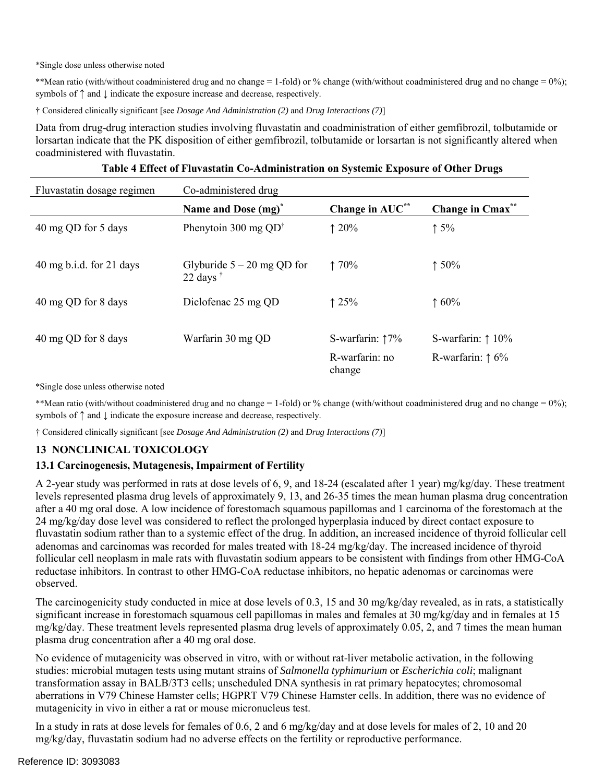\*Single dose unless otherwise noted

 \*\*Mean ratio (with/without coadministered drug and no change = 1-fold) or % change (with/without coadministered drug and no change = 0%); symbols of  $↑$  and  $↓$  indicate the exposure increase and decrease, respectively.

† Considered clinically significant [see *Dosage And Administration (2)* and *Drug Interactions (7)*]

Data from drug-drug interaction studies involving fluvastatin and coadministration of either gemfibrozil, tolbutamide or lorsartan indicate that the PK disposition of either gemfibrozil, tolbutamide or lorsartan is not significantly altered when coadministered with fluvastatin.

| Fluvastatin dosage regimen | Co-administered drug                              |                           |                             |  |  |  |
|----------------------------|---------------------------------------------------|---------------------------|-----------------------------|--|--|--|
|                            | Name and Dose (mg) <sup>*</sup>                   | Change in AUC**           | Change in Cmax <sup>*</sup> |  |  |  |
| 40 mg QD for 5 days        | Phenytoin 300 mg $QD^{\dagger}$                   | 120%                      | $\uparrow$ 5%               |  |  |  |
| 40 mg b.i.d. for 21 days   | Glyburide $5 - 20$ mg QD for<br>22 days $\dagger$ | 170%                      | 150%                        |  |  |  |
| 40 mg QD for 8 days        | Diclofenac 25 mg QD                               | 125%                      | 160%                        |  |  |  |
| 40 mg QD for 8 days        | Warfarin 30 mg QD                                 | S-warfarin: $\uparrow$ 7% | S-warfarin: $\uparrow$ 10%  |  |  |  |
|                            |                                                   | R-warfarin: no<br>change  | R-warfarin: $\uparrow$ 6%   |  |  |  |

|  | Table 4 Effect of Fluvastatin Co-Administration on Systemic Exposure of Other Drugs |  |  |  |
|--|-------------------------------------------------------------------------------------|--|--|--|
|  |                                                                                     |  |  |  |

\*Single dose unless otherwise noted

 \*\*Mean ratio (with/without coadministered drug and no change = 1-fold) or % change (with/without coadministered drug and no change = 0%); symbols of  $↑$  and  $↓$  indicate the exposure increase and decrease, respectively.

† Considered clinically significant [see *Dosage And Administration (2)* and *Drug Interactions (7)*]

### **13 NONCLINICAL TOXICOLOGY**

#### **13.1 Carcinogenesis, Mutagenesis, Impairment of Fertility**

 fluvastatin sodium rather than to a systemic effect of the drug. In addition, an increased incidence of thyroid follicular cell A 2-year study was performed in rats at dose levels of 6, 9, and 18-24 (escalated after 1 year) mg/kg/day. These treatment levels represented plasma drug levels of approximately 9, 13, and 26-35 times the mean human plasma drug concentration after a 40 mg oral dose. A low incidence of forestomach squamous papillomas and 1 carcinoma of the forestomach at the 24 mg/kg/day dose level was considered to reflect the prolonged hyperplasia induced by direct contact exposure to adenomas and carcinomas was recorded for males treated with 18-24 mg/kg/day. The increased incidence of thyroid follicular cell neoplasm in male rats with fluvastatin sodium appears to be consistent with findings from other HMG-CoA reductase inhibitors. In contrast to other HMG-CoA reductase inhibitors, no hepatic adenomas or carcinomas were observed.

The carcinogenicity study conducted in mice at dose levels of 0.3, 15 and 30 mg/kg/day revealed, as in rats, a statistically significant increase in forestomach squamous cell papillomas in males and females at 30 mg/kg/day and in females at 15  $mg/kg/day$ . These treatment levels represented plasma drug levels of approximately 0.05, 2, and 7 times the mean human plasma drug concentration after a 40 mg oral dose.

 studies: microbial mutagen tests using mutant strains of *Salmonella typhimurium* or *Escherichia coli*; malignant No evidence of mutagenicity was observed in vitro, with or without rat-liver metabolic activation, in the following transformation assay in BALB/3T3 cells; unscheduled DNA synthesis in rat primary hepatocytes; chromosomal aberrations in V79 Chinese Hamster cells; HGPRT V79 Chinese Hamster cells. In addition, there was no evidence of mutagenicity in vivo in either a rat or mouse micronucleus test.

In a study in rats at dose levels for females of 0.6, 2 and 6 mg/kg/day and at dose levels for males of 2, 10 and 20 mg/kg/day, fluvastatin sodium had no adverse effects on the fertility or reproductive performance.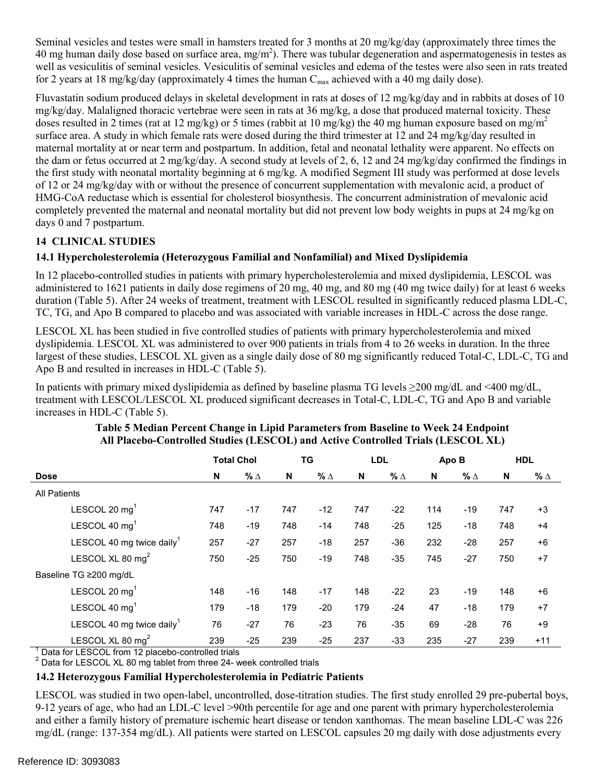Seminal vesicles and testes were small in hamsters treated for 3 months at 20 mg/kg/day (approximately three times the 40 mg human daily dose based on surface area, mg/m<sup>2</sup>). There was tubular degeneration and aspermatogenesis in testes as well as vesiculitis of seminal vesicles. Vesiculitis of seminal vesicles and edema of the testes were also seen in rats treated for 2 years at 18 mg/kg/day (approximately 4 times the human  $C_{\text{max}}$  achieved with a 40 mg daily dose).

 the first study with neonatal mortality beginning at 6 mg/kg. A modified Segment III study was performed at dose levels completely prevented the maternal and neonatal mortality but did not prevent low body weights in pups at 24 mg/kg on days 0 and 7 postpartum. Fluvastatin sodium produced delays in skeletal development in rats at doses of 12 mg/kg/day and in rabbits at doses of 10 mg/kg/day. Malaligned thoracic vertebrae were seen in rats at 36 mg/kg, a dose that produced maternal toxicity. These doses resulted in 2 times (rat at 12 mg/kg) or 5 times (rabbit at 10 mg/kg) the 40 mg human exposure based on mg/m<sup>2</sup> surface area. A study in which female rats were dosed during the third trimester at 12 and 24 mg/kg/day resulted in maternal mortality at or near term and postpartum. In addition, fetal and neonatal lethality were apparent. No effects on the dam or fetus occurred at 2 mg/kg/day. A second study at levels of 2, 6, 12 and 24 mg/kg/day confirmed the findings in of 12 or 24 mg/kg/day with or without the presence of concurrent supplementation with mevalonic acid, a product of HMG-CoA reductase which is essential for cholesterol biosynthesis. The concurrent administration of mevalonic acid

# **14 CLINICAL STUDIES**

# **14.1 Hypercholesterolemia (Heterozygous Familial and Nonfamilial) and Mixed Dyslipidemia**

 administered to 1621 patients in daily dose regimens of 20 mg, 40 mg, and 80 mg (40 mg twice daily) for at least 6 weeks In 12 placebo-controlled studies in patients with primary hypercholesterolemia and mixed dyslipidemia, LESCOL was duration (Table 5). After 24 weeks of treatment, treatment with LESCOL resulted in significantly reduced plasma LDL-C, TC, TG, and Apo B compared to placebo and was associated with variable increases in HDL-C across the dose range.

LESCOL XL has been studied in five controlled studies of patients with primary hypercholesterolemia and mixed dyslipidemia. LESCOL XL was administered to over 900 patients in trials from 4 to 26 weeks in duration. In the three largest of these studies, LESCOL XL given as a single daily dose of 80 mg significantly reduced Total-C, LDL-C, TG and Apo B and resulted in increases in HDL-C (Table 5).

In patients with primary mixed dyslipidemia as defined by baseline plasma TG levels ≥200 mg/dL and <400 mg/dL, treatment with LESCOL/LESCOL XL produced significant decreases in Total-C, LDL-C, TG and Apo B and variable increases in HDL-C (Table 5).

|                                       | <b>Total Chol</b> |            |     | TG         |     | <b>LDL</b> |     | Apo B      |     | <b>HDL</b> |  |
|---------------------------------------|-------------------|------------|-----|------------|-----|------------|-----|------------|-----|------------|--|
| <b>Dose</b>                           | N                 | % $\Delta$ | N   | $% \Delta$ | N   | $% \Delta$ | N   | % $\Delta$ | N   | % $\Delta$ |  |
| <b>All Patients</b>                   |                   |            |     |            |     |            |     |            |     |            |  |
| LESCOL 20 $mg1$                       | 747               | $-17$      | 747 | $-12$      | 747 | $-22$      | 114 | $-19$      | 747 | $+3$       |  |
| LESCOL 40 mg <sup>1</sup>             | 748               | $-19$      | 748 | $-14$      | 748 | $-25$      | 125 | $-18$      | 748 | $+4$       |  |
| LESCOL 40 mg twice daily <sup>1</sup> | 257               | $-27$      | 257 | $-18$      | 257 | $-36$      | 232 | $-28$      | 257 | $+6$       |  |
| LESCOL XL 80 mg <sup>2</sup>          | 750               | $-25$      | 750 | $-19$      | 748 | $-35$      | 745 | $-27$      | 750 | $+7$       |  |
| Baseline TG ≥200 mg/dL                |                   |            |     |            |     |            |     |            |     |            |  |
| LESCOL 20 mg <sup>1</sup>             | 148               | $-16$      | 148 | $-17$      | 148 | $-22$      | 23  | $-19$      | 148 | $+6$       |  |
| LESCOL 40 $mg1$                       | 179               | $-18$      | 179 | $-20$      | 179 | $-24$      | 47  | $-18$      | 179 | $+7$       |  |
| LESCOL 40 mg twice daily <sup>1</sup> | 76                | $-27$      | 76  | $-23$      | 76  | $-35$      | 69  | $-28$      | 76  | $+9$       |  |
| LESCOL XL 80 $mg2$                    | 239               | $-25$      | 239 | $-25$      | 237 | $-33$      | 235 | $-27$      | 239 | $+11$      |  |

## **Table 5 Median Percent Change in Lipid Parameters from Baseline to Week 24 Endpoint All Placebo-Controlled Studies (LESCOL) and Active Controlled Trials (LESCOL XL)**

 $1$  Data for LESCOL from 12 placebo-controlled trials

<sup>'</sup> Data for LESCOL from 12 placebo-controlled trials<br><sup>2</sup> Data for LESCOL XL 80 mg tablet from three 24- week controlled trials

### **14.2 Heterozygous Familial Hypercholesterolemia in Pediatric Patients**

 9-12 years of age, who had an LDL-C level >90th percentile for age and one parent with primary hypercholesterolemia LESCOL was studied in two open-label, uncontrolled, dose-titration studies. The first study enrolled 29 pre-pubertal boys, and either a family history of premature ischemic heart disease or tendon xanthomas. The mean baseline LDL-C was 226 mg/dL (range: 137-354 mg/dL). All patients were started on LESCOL capsules 20 mg daily with dose adjustments every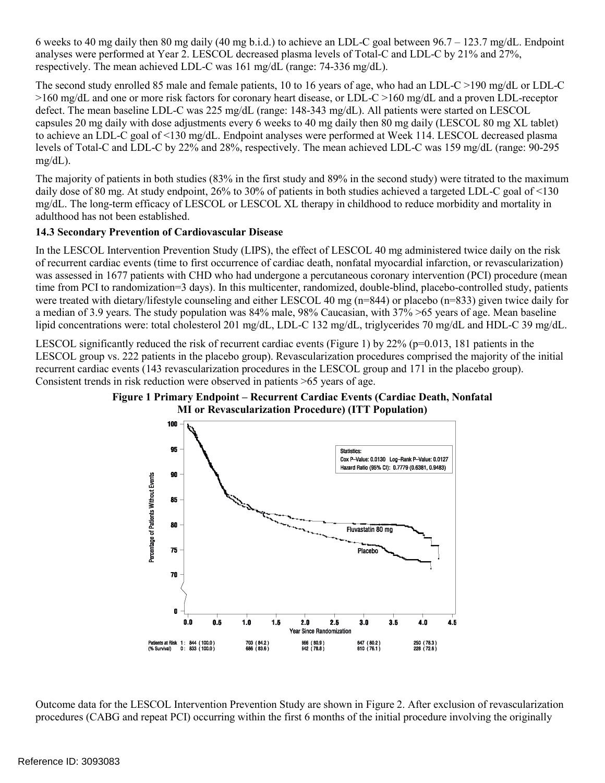analyses were performed at Year 2. LESCOL decreased plasma levels of Total-C and LDL-C by 21% and 27%, 6 weeks to 40 mg daily then 80 mg daily (40 mg b.i.d.) to achieve an LDL-C goal between  $96.7 - 123.7$  mg/dL. Endpoint respectively. The mean achieved LDL-C was 161 mg/dL (range: 74-336 mg/dL).

 >160 mg/dL and one or more risk factors for coronary heart disease, or LDL-C >160 mg/dL and a proven LDL-receptor The second study enrolled 85 male and female patients, 10 to 16 years of age, who had an LDL-C >190 mg/dL or LDL-C defect. The mean baseline LDL-C was 225 mg/dL (range: 148-343 mg/dL). All patients were started on LESCOL capsules 20 mg daily with dose adjustments every 6 weeks to 40 mg daily then 80 mg daily (LESCOL 80 mg XL tablet) to achieve an LDL-C goal of <130 mg/dL. Endpoint analyses were performed at Week 114. LESCOL decreased plasma levels of Total-C and LDL-C by 22% and 28%, respectively. The mean achieved LDL-C was 159 mg/dL (range: 90-295 mg/dL).

 daily dose of 80 mg. At study endpoint, 26% to 30% of patients in both studies achieved a targeted LDL-C goal of <130 The majority of patients in both studies (83% in the first study and 89% in the second study) were titrated to the maximum mg/dL. The long-term efficacy of LESCOL or LESCOL XL therapy in childhood to reduce morbidity and mortality in adulthood has not been established.

# **14.3 Secondary Prevention of Cardiovascular Disease**

 of recurrent cardiac events (time to first occurrence of cardiac death, nonfatal myocardial infarction, or revascularization) In the LESCOL Intervention Prevention Study (LIPS), the effect of LESCOL 40 mg administered twice daily on the risk was assessed in 1677 patients with CHD who had undergone a percutaneous coronary intervention (PCI) procedure (mean time from PCI to randomization=3 days). In this multicenter, randomized, double-blind, placebo-controlled study, patients were treated with dietary/lifestyle counseling and either LESCOL 40 mg (n=844) or placebo (n=833) given twice daily for a median of 3.9 years. The study population was 84% male, 98% Caucasian, with 37% >65 years of age. Mean baseline lipid concentrations were: total cholesterol 201 mg/dL, LDL-C 132 mg/dL, triglycerides 70 mg/dL and HDL-C 39 mg/dL.

LESCOL significantly reduced the risk of recurrent cardiac events (Figure 1) by 22% ( $p=0.013$ , 181 patients in the LESCOL group vs. 222 patients in the placebo group). Revascularization procedures comprised the majority of the initial recurrent cardiac events (143 revascularization procedures in the LESCOL group and 171 in the placebo group). Consistent trends in risk reduction were observed in patients >65 years of age.





 procedures (CABG and repeat PCI) occurring within the first 6 months of the initial procedure involving the originally Outcome data for the LESCOL Intervention Prevention Study are shown in Figure 2. After exclusion of revascularization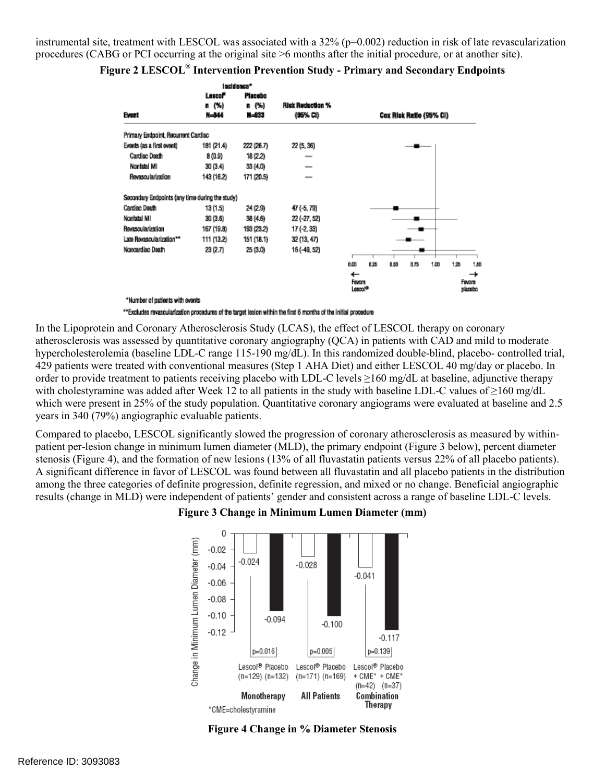instrumental site, treatment with LESCOL was associated with a 32% (p=0.002) reduction in risk of late revascularization procedures (CABG or PCI occurring at the original site >6 months after the initial procedure, or at another site).

|                                                 |                     | Incidence* |                          |                               |      |      |      |      |      |                   |
|-------------------------------------------------|---------------------|------------|--------------------------|-------------------------------|------|------|------|------|------|-------------------|
|                                                 | Lescof <sup>*</sup> | Placebo    |                          |                               |      |      |      |      |      |                   |
|                                                 | n (%)               | n (%)      | <b>Risk Reduction %</b>  |                               |      |      |      |      |      |                   |
| Event                                           | N=844               | N=833      | (95% CI)                 | Cox Risk Ratio (95% Ci)       |      |      |      |      |      |                   |
| Primary Endooint, Recurrent Cardiac             |                     |            |                          |                               |      |      |      |      |      |                   |
| Evonts (as a first ovont)                       | 181 (21.4)          | 222 (26.7) | 22 (5, 36)               |                               |      |      |      |      |      |                   |
| Cardiac Death                                   | 8 (0.9)             | 18 (2.2)   |                          |                               |      |      |      |      |      |                   |
| Nonfatal MI                                     | 30 (3.4)            | 33 (4.0)   | -                        |                               |      |      |      |      |      |                   |
| <b>Revascularization</b>                        | 143 (16.2)          | 171 (20.5) | $\overline{\phantom{a}}$ |                               |      |      |      |      |      |                   |
| Secondary Endpoints (any time during the study) |                     |            |                          |                               |      |      |      |      |      |                   |
| Cardiac Death                                   | 13 (1.5)            | 24 (2.9)   | 47 (-5, 79)              |                               |      |      |      |      |      |                   |
| Nonfatal MI                                     | 30 (3.6)            | 38 (4.6)   | $22(-27, 52)$            |                               |      |      |      |      |      |                   |
| Revascularization                               | 167 (19.8)          | 193 (23.2) | $17(-2, 33)$             |                               |      |      |      |      |      |                   |
| Late Revascularization**                        | 111 (13.2)          | 151 (18.1) | 32 (13, 47)              |                               |      |      |      |      |      |                   |
| Noncardiac Death                                | 23 (2.7)            | 25 (3.0)   | 16 (-49, 52)             |                               |      |      |      |      |      |                   |
|                                                 |                     |            |                          | 0.00                          | 0.25 | 0.50 | 0.75 | 1.00 | 1.25 | 1.50              |
|                                                 |                     |            |                          | ←                             |      |      |      |      |      | →                 |
|                                                 |                     |            |                          | Favors<br>Lascol <sup>o</sup> |      |      |      |      |      | Favors<br>placebo |
| *Number of patients with events                 |                     |            |                          |                               |      |      |      |      |      |                   |

#### **Figure 2 LESCOL® Intervention Prevention Study - Primary and Secondary Endpoints**

\*\*Excludes revascularization procedures of the target lesion within the first 6 months of the initial procedure

 with cholestyramine was added after Week 12 to all patients in the study with baseline LDL-C values of ≥160 mg/dL which were present in 25% of the study population. Quantitative coronary angiograms were evaluated at baseline and 2.5 In the Lipoprotein and Coronary Atherosclerosis Study (LCAS), the effect of LESCOL therapy on coronary atherosclerosis was assessed by quantitative coronary angiography (QCA) in patients with CAD and mild to moderate hypercholesterolemia (baseline LDL-C range 115-190 mg/dL). In this randomized double-blind, placebo- controlled trial, 429 patients were treated with conventional measures (Step 1 AHA Diet) and either LESCOL 40 mg/day or placebo. In order to provide treatment to patients receiving placebo with LDL-C levels ≥160 mg/dL at baseline, adjunctive therapy years in 340 (79%) angiographic evaluable patients.

 stenosis (Figure 4), and the formation of new lesions (13% of all fluvastatin patients versus 22% of all placebo patients). Compared to placebo, LESCOL significantly slowed the progression of coronary atherosclerosis as measured by withinpatient per-lesion change in minimum lumen diameter (MLD), the primary endpoint (Figure 3 below), percent diameter A significant difference in favor of LESCOL was found between all fluvastatin and all placebo patients in the distribution among the three categories of definite progression, definite regression, and mixed or no change. Beneficial angiographic results (change in MLD) were independent of patients' gender and consistent across a range of baseline LDL-C levels.





**Figure 4 Change in % Diameter Stenosis**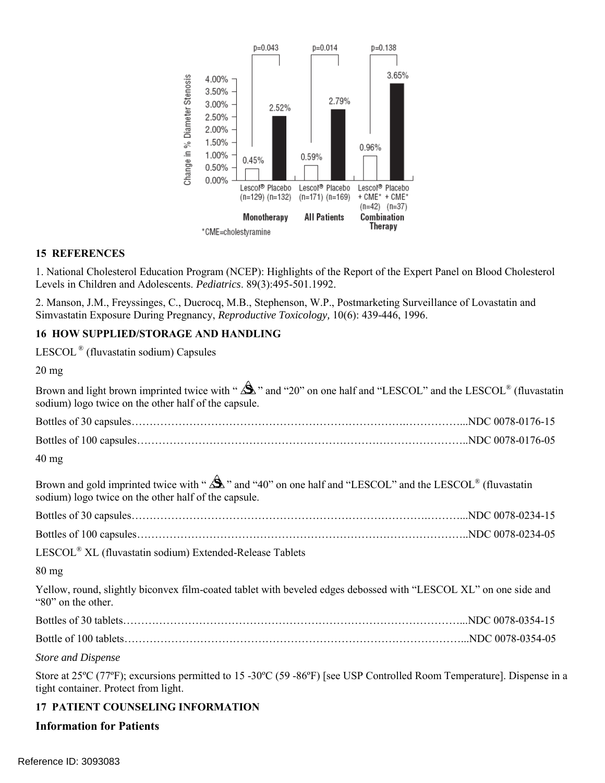

#### **15 REFERENCES**

1. National Cholesterol Education Program (NCEP): Highlights of the Report of the Expert Panel on Blood Cholesterol Levels in Children and Adolescents. *Pediatrics*. 89(3):495-501.1992.

2. Manson, J.M., Freyssinges, C., Ducrocq, M.B., Stephenson, W.P., Postmarketing Surveillance of Lovastatin and Simvastatin Exposure During Pregnancy, *Reproductive Toxicology,* 10(6): 439-446, 1996.

#### **16 HOW SUPPLIED/STORAGE AND HANDLING**

LESCOL ® (fluvastatin sodium) Capsules

 sodium) logo twice on the other half of the capsule.  $40$  mg sodium) logo twice on the other half of the capsule. LESCOL® XL (fluvastatin sodium) Extended-Release Tablets Store at 25ºC (77ºF); excursions permitted to 15 -30ºC (59 -86ºF) [see USP Controlled Room Temperature]. Dispense in a 20 mg Brown and light brown imprinted twice with " $\mathbf{\hat{\triangle}}$ " and "20" on one half and "LESCOL" and the LESCOL® (fluvastatin Bottles of 30 capsules………………………………………………………………….……………...NDC 0078-0176-15 Bottles of 100 capsules………………………………………………………………………………..NDC 0078-0176-05 Brown and gold imprinted twice with " $\mathbf{\hat{\mathbf{\hat{S}}}}$ " and "40" on one half and "LESCOL" and the LESCOL<sup>®</sup> (fluvastatin Bottles of 30 capsules……………………………………………………………………….………...NDC 0078-0234-15 Bottles of 100 capsules………………………………………………………………………………..NDC 0078-0234-05 80 mg Yellow, round, slightly biconvex film-coated tablet with beveled edges debossed with "LESCOL XL" on one side and "80" on the other. Bottles of 30 tablets…………………………………………………………………………………...NDC 0078-0354-15 Bottle of 100 tablets…………………………………………………………………………………...NDC 0078-0354-05 *Store and Dispense*  tight container. Protect from light.

### **17 PATIENT COUNSELING INFORMATION**

#### **Information for Patients**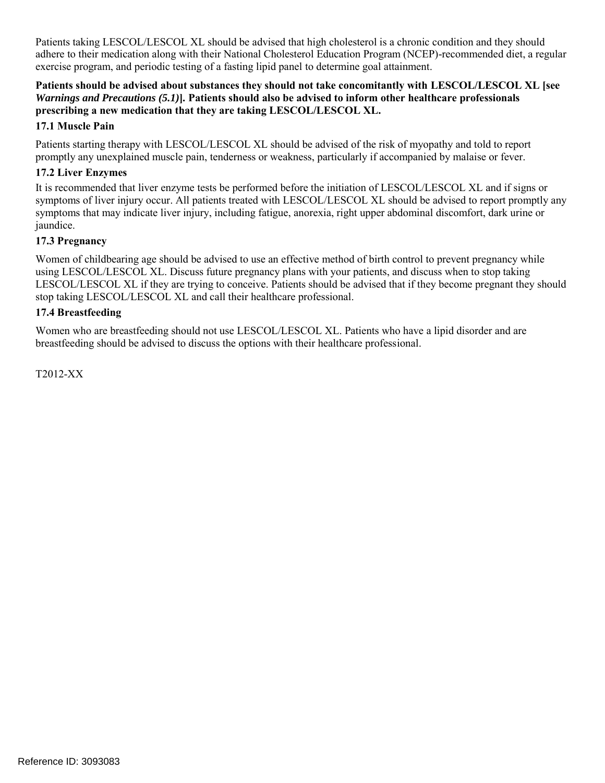exercise program, and periodic testing of a fasting lipid panel to determine goal attainment. Patients taking LESCOL/LESCOL XL should be advised that high cholesterol is a chronic condition and they should adhere to their medication along with their National Cholesterol Education Program (NCEP)-recommended diet, a regular

#### **prescribing a new medication that they are taking LESCOL/LESCOL XL. Patients should be advised about substances they should not take concomitantly with LESCOL/LESCOL XL [see**  *Warnings and Precautions (5.1)***]***.* **Patients should also be advised to inform other healthcare professionals**

### **17.1 Muscle Pain**

 promptly any unexplained muscle pain, tenderness or weakness, particularly if accompanied by malaise or fever. Patients starting therapy with LESCOL/LESCOL XL should be advised of the risk of myopathy and told to report

# **17.2 Liver Enzymes**

 It is recommended that liver enzyme tests be performed before the initiation of LESCOL/LESCOL XL and if signs or symptoms of liver injury occur. All patients treated with LESCOL/LESCOL XL should be advised to report promptly any symptoms that may indicate liver injury, including fatigue, anorexia, right upper abdominal discomfort, dark urine or jaundice.

# **17.3 Pregnancy**

 Women of childbearing age should be advised to use an effective method of birth control to prevent pregnancy while LESCOL/LESCOL XL if they are trying to conceive. Patients should be advised that if they become pregnant they should stop taking LESCOL/LESCOL XL and call their healthcare professional. using LESCOL/LESCOL XL. Discuss future pregnancy plans with your patients, and discuss when to stop taking

### **17.4 Breastfeeding**

 Women who are breastfeeding should not use LESCOL/LESCOL XL. Patients who have a lipid disorder and are breastfeeding should be advised to discuss the options with their healthcare professional.

T2012-XX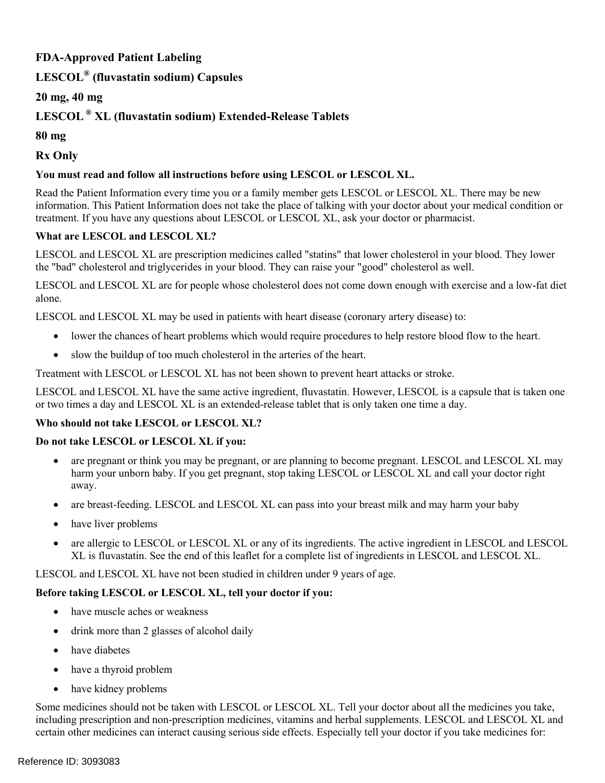# **FDA-Approved Patient Labeling**

# **LESCOL® (fluvastatin sodium) Capsules**

# **20 mg, 40 mg**

# **LESCOL ® XL (fluvastatin sodium) Extended-Release Tablets**

**80 mg**

**Rx Only**

# **You must read and follow all instructions before using LESCOL or LESCOL XL.**

 information. This Patient Information does not take the place of talking with your doctor about your medical condition or treatment. If you have any questions about LESCOL or LESCOL XL, ask your doctor or pharmacist. Read the Patient Information every time you or a family member gets LESCOL or LESCOL XL. There may be new

# **What are LESCOL and LESCOL XL?**

LESCOL and LESCOL XL are prescription medicines called "statins" that lower cholesterol in your blood. They lower the "bad" cholesterol and triglycerides in your blood. They can raise your "good" cholesterol as well.

 LESCOL and LESCOL XL are for people whose cholesterol does not come down enough with exercise and a low-fat diet alone.

LESCOL and LESCOL XL may be used in patients with heart disease (coronary artery disease) to:

- lower the chances of heart problems which would require procedures to help restore blood flow to the heart.
- slow the buildup of too much cholesterol in the arteries of the heart.

Treatment with LESCOL or LESCOL XL has not been shown to prevent heart attacks or stroke.

 or two times a day and LESCOL XL is an extended-release tablet that is only taken one time a day. LESCOL and LESCOL XL have the same active ingredient, fluvastatin. However, LESCOL is a capsule that is taken one

### **Who should not take LESCOL or LESCOL XL?**

### **Do not take LESCOL or LESCOL XL if you:**

- harm your unborn baby. If you get pregnant, stop taking LESCOL or LESCOL XL and call your doctor right are pregnant or think you may be pregnant, or are planning to become pregnant. LESCOL and LESCOL XL may away.
- are breast-feeding. LESCOL and LESCOL XL can pass into your breast milk and may harm your baby
- have liver problems
- are allergic to LESCOL or LESCOL XL or any of its ingredients. The active ingredient in LESCOL and LESCOL XL is fluvastatin. See the end of this leaflet for a complete list of ingredients in LESCOL and LESCOL XL.

LESCOL and LESCOL XL have not been studied in children under 9 years of age.

### **Before taking LESCOL or LESCOL XL, tell your doctor if you:**

- have muscle aches or weakness
- drink more than 2 glasses of alcohol daily
- have diabetes
- have a thyroid problem
- have kidney problems

Some medicines should not be taken with LESCOL or LESCOL XL. Tell your doctor about all the medicines you take, including prescription and non-prescription medicines, vitamins and herbal supplements. LESCOL and LESCOL XL and certain other medicines can interact causing serious side effects. Especially tell your doctor if you take medicines for: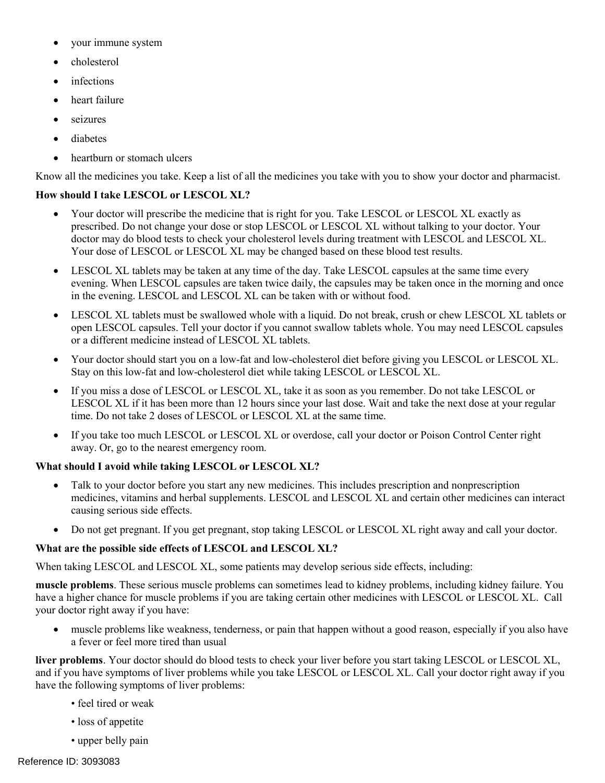- your immune system
- cholesterol
- infections
- heart failure
- seizures
- diabetes
- heartburn or stomach ulcers

Know all the medicines you take. Keep a list of all the medicines you take with you to show your doctor and pharmacist.

### **How should I take LESCOL or LESCOL XL?**

- Your doctor will prescribe the medicine that is right for you. Take LESCOL or LESCOL XL exactly as prescribed. Do not change your dose or stop LESCOL or LESCOL XL without talking to your doctor. Your doctor may do blood tests to check your cholesterol levels during treatment with LESCOL and LESCOL XL. Your dose of LESCOL or LESCOL XL may be changed based on these blood test results.
- LESCOL XL tablets may be taken at any time of the day. Take LESCOL capsules at the same time every evening. When LESCOL capsules are taken twice daily, the capsules may be taken once in the morning and once in the evening. LESCOL and LESCOL XL can be taken with or without food.
- LESCOL XL tablets must be swallowed whole with a liquid. Do not break, crush or chew LESCOL XL tablets or open LESCOL capsules. Tell your doctor if you cannot swallow tablets whole. You may need LESCOL capsules or a different medicine instead of LESCOL XL tablets.
- Your doctor should start you on a low-fat and low-cholesterol diet before giving you LESCOL or LESCOL XL. Stay on this low-fat and low-cholesterol diet while taking LESCOL or LESCOL XL.
- If you miss a dose of LESCOL or LESCOL XL*,* take it as soon as you remember. Do not take LESCOL or LESCOL XL if it has been more than 12 hours since your last dose. Wait and take the next dose at your regular time. Do not take 2 doses of LESCOL or LESCOL XL at the same time.
- If you take too much LESCOL or LESCOL XL or overdose, call your doctor or Poison Control Center right away. Or, go to the nearest emergency room.

### **What should I avoid while taking LESCOL or LESCOL XL?**

- Talk to your doctor before you start any new medicines. This includes prescription and nonprescription medicines, vitamins and herbal supplements. LESCOL and LESCOL XL and certain other medicines can interact causing serious side effects.
- Do not get pregnant. If you get pregnant, stop taking LESCOL or LESCOL XL right away and call your doctor.

### **What are the possible side effects of LESCOL and LESCOL XL?**

When taking LESCOL and LESCOL XL, some patients may develop serious side effects, including:

 have a higher chance for muscle problems if you are taking certain other medicines with LESCOL or LESCOL XL. Call **muscle problems**. These serious muscle problems can sometimes lead to kidney problems, including kidney failure. You your doctor right away if you have:

 muscle problems like weakness, tenderness, or pain that happen without a good reason, especially if you also have a fever or feel more tired than usual

 and if you have symptoms of liver problems while you take LESCOL or LESCOL XL. Call your doctor right away if you **liver problems**. Your doctor should do blood tests to check your liver before you start taking LESCOL or LESCOL XL, have the following symptoms of liver problems:

- feel tired or weak
- loss of appetite
- upper belly pain